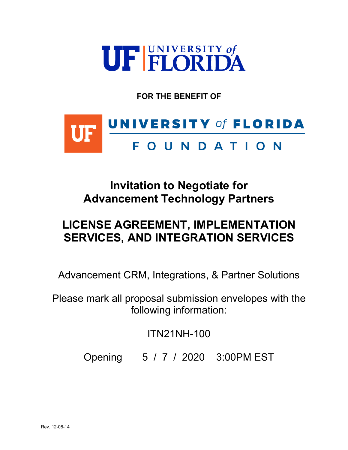

**FOR THE BENEFIT OF**



# **Invitation to Negotiate for Advancement Technology Partners**

# **LICENSE AGREEMENT, IMPLEMENTATION SERVICES, AND INTEGRATION SERVICES**

Advancement CRM, Integrations, & Partner Solutions

Please mark all proposal submission envelopes with the following information:

ITN21NH-100

Opening 5 / 7 / 2020 3:00PM EST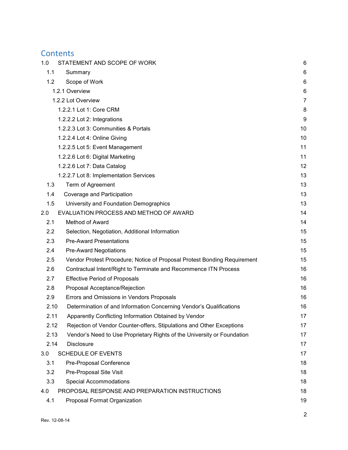# **Contents**

| 1.0  | STATEMENT AND SCOPE OF WORK                                              | 6              |
|------|--------------------------------------------------------------------------|----------------|
| 1.1  | Summary                                                                  | 6              |
| 1.2  | Scope of Work                                                            | 6              |
|      | 1.2.1 Overview                                                           | 6              |
|      | 1.2.2 Lot Overview                                                       | $\overline{7}$ |
|      | 1.2.2.1 Lot 1: Core CRM                                                  | 8              |
|      | 1.2.2.2 Lot 2: Integrations                                              | 9              |
|      | 1.2.2.3 Lot 3: Communities & Portals                                     | 10             |
|      | 1.2.2.4 Lot 4: Online Giving                                             | 10             |
|      | 1.2.2.5 Lot 5: Event Management                                          | 11             |
|      | 1.2.2.6 Lot 6: Digital Marketing                                         | 11             |
|      | 1.2.2.6 Lot 7: Data Catalog                                              | 12             |
|      | 1.2.2.7 Lot 8: Implementation Services                                   | 13             |
| 1.3  | Term of Agreement                                                        | 13             |
| 1.4  | Coverage and Participation                                               | 13             |
| 1.5  | University and Foundation Demographics                                   | 13             |
| 2.0  | EVALUATION PROCESS AND METHOD OF AWARD                                   | 14             |
| 2.1  | Method of Award                                                          | 14             |
| 2.2  | Selection, Negotiation, Additional Information                           | 15             |
| 2.3  | <b>Pre-Award Presentations</b>                                           | 15             |
| 2.4  | <b>Pre-Award Negotiations</b>                                            | 15             |
| 2.5  | Vendor Protest Procedure; Notice of Proposal Protest Bonding Requirement | 15             |
| 2.6  | Contractual Intent/Right to Terminate and Recommence ITN Process         | 16             |
| 2.7  | <b>Effective Period of Proposals</b>                                     | 16             |
| 2.8  | Proposal Acceptance/Rejection                                            | 16             |
| 2.9  | Errors and Omissions in Vendors Proposals                                | 16             |
| 2.10 | Determination of and Information Concerning Vendor's Qualifications      | 16             |
| 2.11 | Apparently Conflicting Information Obtained by Vendor                    | 17             |
| 2.12 | Rejection of Vendor Counter-offers, Stipulations and Other Exceptions    | 17             |
| 2.13 | Vendor's Need to Use Proprietary Rights of the University or Foundation  | 17             |
| 2.14 | <b>Disclosure</b>                                                        | 17             |
| 3.0  | <b>SCHEDULE OF EVENTS</b>                                                | 17             |
| 3.1  | Pre-Proposal Conference                                                  | 18             |
| 3.2  | Pre-Proposal Site Visit                                                  | 18             |
| 3.3  | <b>Special Accommodations</b>                                            | 18             |
| 4.0  | PROPOSAL RESPONSE AND PREPARATION INSTRUCTIONS                           | 18             |
| 4.1  | Proposal Format Organization                                             | 19             |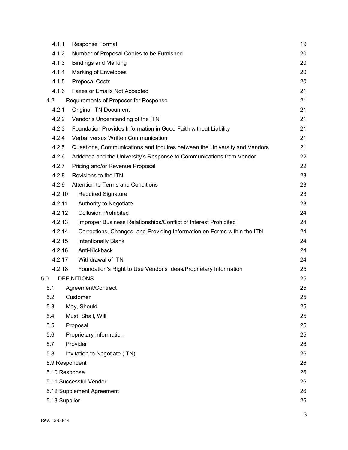| 4.1.1          | <b>Response Format</b>                                                    | 19 |
|----------------|---------------------------------------------------------------------------|----|
| 4.1.2          | Number of Proposal Copies to be Furnished                                 | 20 |
| 4.1.3          | <b>Bindings and Marking</b>                                               | 20 |
| 4.1.4          | <b>Marking of Envelopes</b>                                               | 20 |
| 4.1.5          | <b>Proposal Costs</b>                                                     | 20 |
| 4.1.6          | Faxes or Emails Not Accepted                                              | 21 |
| 4.2            | Requirements of Proposer for Response                                     | 21 |
| 4.2.1          | <b>Original ITN Document</b>                                              | 21 |
| 4.2.2          | Vendor's Understanding of the ITN                                         | 21 |
| 4.2.3          | Foundation Provides Information in Good Faith without Liability           | 21 |
| 4.2.4          | Verbal versus Written Communication                                       | 21 |
| 4.2.5          | Questions, Communications and Inquires between the University and Vendors | 21 |
| 4.2.6          | Addenda and the University's Response to Communications from Vendor       | 22 |
| 4.2.7          | Pricing and/or Revenue Proposal                                           | 22 |
| 4.2.8          | Revisions to the ITN                                                      | 23 |
| 4.2.9          | <b>Attention to Terms and Conditions</b>                                  | 23 |
| 4.2.10         | <b>Required Signature</b>                                                 | 23 |
| 4.2.11         | Authority to Negotiate                                                    | 23 |
| 4.2.12         | <b>Collusion Prohibited</b>                                               | 24 |
| 4.2.13         | Improper Business Relationships/Conflict of Interest Prohibited           | 24 |
| 4.2.14         | Corrections, Changes, and Providing Information on Forms within the ITN   | 24 |
| 4.2.15         | <b>Intentionally Blank</b>                                                | 24 |
| 4.2.16         | Anti-Kickback                                                             | 24 |
| 4.2.17         | Withdrawal of ITN                                                         | 24 |
| 4.2.18         | Foundation's Right to Use Vendor's Ideas/Proprietary Information          | 25 |
| 5.0            | <b>DEFINITIONS</b>                                                        | 25 |
| 5.1            | Agreement/Contract                                                        | 25 |
| 5.2            | Customer                                                                  | 25 |
| 5.3            | May, Should                                                               | 25 |
| 5.4            | Must, Shall, Will                                                         | 25 |
| 5.5            | Proposal                                                                  | 25 |
| 5.6            | Proprietary Information                                                   | 25 |
| 5.7            | Provider                                                                  | 26 |
| 5.8            | Invitation to Negotiate (ITN)                                             | 26 |
| 5.9 Respondent |                                                                           | 26 |
| 5.10 Response  |                                                                           | 26 |
|                | 5.11 Successful Vendor                                                    | 26 |
|                | 5.12 Supplement Agreement                                                 | 26 |
| 5.13 Supplier  |                                                                           | 26 |
|                |                                                                           |    |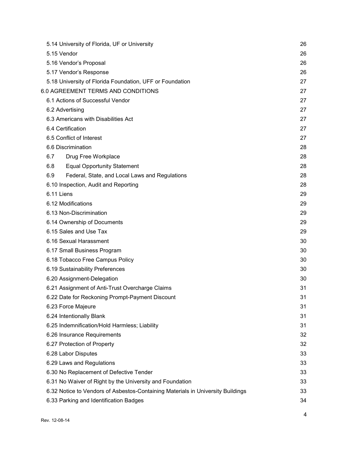| 5.14 University of Florida, UF or University                                    | 26 |
|---------------------------------------------------------------------------------|----|
| 5.15 Vendor                                                                     | 26 |
| 5.16 Vendor's Proposal                                                          | 26 |
| 5.17 Vendor's Response                                                          | 26 |
| 5.18 University of Florida Foundation, UFF or Foundation                        | 27 |
| 6.0 AGREEMENT TERMS AND CONDITIONS                                              | 27 |
| 6.1 Actions of Successful Vendor                                                | 27 |
| 6.2 Advertising                                                                 | 27 |
| 6.3 Americans with Disabilities Act                                             | 27 |
| 6.4 Certification                                                               | 27 |
| 6.5 Conflict of Interest                                                        | 27 |
| 6.6 Discrimination                                                              | 28 |
| Drug Free Workplace<br>6.7                                                      | 28 |
| <b>Equal Opportunity Statement</b><br>6.8                                       | 28 |
| 6.9<br>Federal, State, and Local Laws and Regulations                           | 28 |
| 6.10 Inspection, Audit and Reporting                                            | 28 |
| 6.11 Liens                                                                      | 29 |
| 6.12 Modifications                                                              | 29 |
| 6.13 Non-Discrimination                                                         | 29 |
| 6.14 Ownership of Documents                                                     | 29 |
| 6.15 Sales and Use Tax                                                          | 29 |
| 6.16 Sexual Harassment                                                          | 30 |
| 6.17 Small Business Program                                                     | 30 |
| 6.18 Tobacco Free Campus Policy                                                 | 30 |
| 6.19 Sustainability Preferences                                                 | 30 |
| 6.20 Assignment-Delegation                                                      | 30 |
| 6.21 Assignment of Anti-Trust Overcharge Claims                                 | 31 |
| 6.22 Date for Reckoning Prompt-Payment Discount                                 | 31 |
| 6.23 Force Majeure                                                              | 31 |
| 6.24 Intentionally Blank                                                        | 31 |
| 6.25 Indemnification/Hold Harmless; Liability                                   | 31 |
| 6.26 Insurance Requirements                                                     | 32 |
| 6.27 Protection of Property                                                     | 32 |
| 6.28 Labor Disputes                                                             | 33 |
| 6.29 Laws and Regulations                                                       | 33 |
| 6.30 No Replacement of Defective Tender                                         | 33 |
| 6.31 No Waiver of Right by the University and Foundation                        | 33 |
| 6.32 Notice to Vendors of Asbestos-Containing Materials in University Buildings | 33 |
| 6.33 Parking and Identification Badges                                          | 34 |
|                                                                                 |    |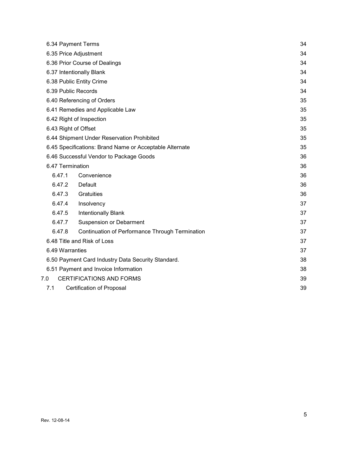|                                                    | 6.34 Payment Terms    |                                                         | 34 |
|----------------------------------------------------|-----------------------|---------------------------------------------------------|----|
|                                                    | 6.35 Price Adjustment |                                                         | 34 |
|                                                    |                       | 6.36 Prior Course of Dealings                           | 34 |
|                                                    |                       | 6.37 Intentionally Blank                                | 34 |
|                                                    |                       | 6.38 Public Entity Crime                                | 34 |
|                                                    | 6.39 Public Records   |                                                         | 34 |
|                                                    |                       | 6.40 Referencing of Orders                              | 35 |
|                                                    |                       | 6.41 Remedies and Applicable Law                        | 35 |
|                                                    |                       | 6.42 Right of Inspection                                | 35 |
|                                                    | 6.43 Right of Offset  |                                                         | 35 |
|                                                    |                       | 6.44 Shipment Under Reservation Prohibited              | 35 |
|                                                    |                       | 6.45 Specifications: Brand Name or Acceptable Alternate | 35 |
|                                                    |                       | 6.46 Successful Vendor to Package Goods                 | 36 |
|                                                    | 6.47 Termination      |                                                         | 36 |
|                                                    | 6.47.1                | Convenience                                             | 36 |
|                                                    | 6.47.2                | <b>Default</b>                                          | 36 |
|                                                    | 6.47.3                | Gratuities                                              | 36 |
|                                                    | 6.47.4                | Insolvency                                              | 37 |
|                                                    | 6.47.5                | <b>Intentionally Blank</b>                              | 37 |
|                                                    | 6.47.7                | <b>Suspension or Debarment</b>                          | 37 |
|                                                    | 6.47.8                | Continuation of Performance Through Termination         | 37 |
|                                                    |                       | 6.48 Title and Risk of Loss                             | 37 |
|                                                    | 6.49 Warranties       |                                                         | 37 |
| 6.50 Payment Card Industry Data Security Standard. |                       | 38                                                      |    |
|                                                    |                       | 6.51 Payment and Invoice Information                    | 38 |
|                                                    | 7.0                   | <b>CERTIFICATIONS AND FORMS</b>                         | 39 |
|                                                    | 7.1                   | <b>Certification of Proposal</b>                        | 39 |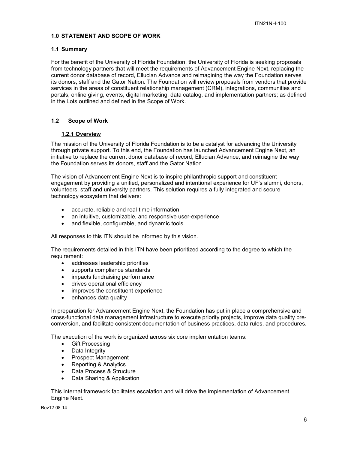#### <span id="page-5-0"></span>**1.0 STATEMENT AND SCOPE OF WORK**

#### <span id="page-5-1"></span>**1.1 Summary**

For the benefit of the University of Florida Foundation, the University of Florida is seeking proposals from technology partners that will meet the requirements of Advancement Engine Next, replacing the current donor database of record, Ellucian Advance and reimagining the way the Foundation serves its donors, staff and the Gator Nation. The Foundation will review proposals from vendors that provide services in the areas of constituent relationship management (CRM), integrations, communities and portals, online giving, events, digital marketing, data catalog, and implementation partners; as defined in the Lots outlined and defined in the Scope of Work.

# <span id="page-5-2"></span>**1.2 Scope of Work**

# **1.2.1 Overview**

<span id="page-5-3"></span>The mission of the University of Florida Foundation is to be a catalyst for advancing the University through private support. To this end, the Foundation has launched Advancement Engine Next, an initiative to replace the current donor database of record, Ellucian Advance, and reimagine the way the Foundation serves its donors, staff and the Gator Nation.

The vision of Advancement Engine Next is to inspire philanthropic support and constituent engagement by providing a unified, personalized and intentional experience for UF's alumni, donors, volunteers, staff and university partners. This solution requires a fully integrated and secure technology ecosystem that delivers:

- accurate, reliable and real-time information
- an intuitive, customizable, and responsive user-experience
- and flexible, configurable, and dynamic tools

All responses to this ITN should be informed by this vision.

The requirements detailed in this ITN have been prioritized according to the degree to which the requirement:

- addresses leadership priorities
- supports compliance standards
- impacts fundraising performance
- drives operational efficiency
- improves the constituent experience
- enhances data quality

In preparation for Advancement Engine Next, the Foundation has put in place a comprehensive and cross-functional data management infrastructure to execute priority projects, improve data quality preconversion, and facilitate consistent documentation of business practices, data rules, and procedures.

The execution of the work is organized across six core implementation teams:

- Gift Processing
- Data Integrity
- Prospect Management
- Reporting & Analytics
- Data Process & Structure
- Data Sharing & Application

This internal framework facilitates escalation and will drive the implementation of Advancement Engine Next.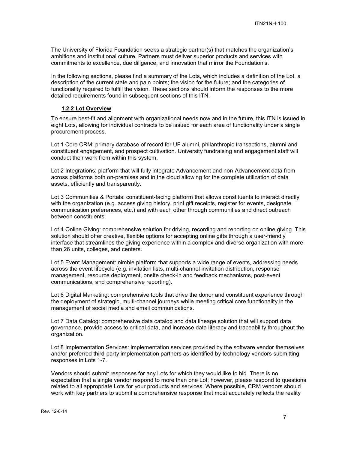The University of Florida Foundation seeks a strategic partner(s) that matches the organization's ambitions and institutional culture. Partners must deliver superior products and services with commitments to excellence, due diligence, and innovation that mirror the Foundation's.

In the following sections, please find a summary of the Lots, which includes a definition of the Lot, a description of the current state and pain points; the vision for the future; and the categories of functionality required to fulfill the vision. These sections should inform the responses to the more detailed requirements found in subsequent sections of this ITN.

#### **1.2.2 Lot Overview**

<span id="page-6-0"></span>To ensure best-fit and alignment with organizational needs now and in the future, this ITN is issued in eight Lots, allowing for individual contracts to be issued for each area of functionality under a single procurement process.

Lot 1 Core CRM: primary database of record for UF alumni, philanthropic transactions, alumni and constituent engagement, and prospect cultivation. University fundraising and engagement staff will conduct their work from within this system.

Lot 2 Integrations: platform that will fully integrate Advancement and non-Advancement data from across platforms both on-premises and in the cloud allowing for the complete utilization of data assets, efficiently and transparently.

Lot 3 Communities & Portals: constituent-facing platform that allows constituents to interact directly with the organization (e.g. access giving history, print gift receipts, register for events, designate communication preferences, etc.) and with each other through communities and direct outreach between constituents.

Lot 4 Online Giving: comprehensive solution for driving, recording and reporting on online giving. This solution should offer creative, flexible options for accepting online gifts through a user-friendly interface that streamlines the giving experience within a complex and diverse organization with more than 26 units, colleges, and centers.

Lot 5 Event Management: nimble platform that supports a wide range of events, addressing needs across the event lifecycle (e.g. invitation lists, multi-channel invitation distribution, response management, resource deployment, onsite check-in and feedback mechanisms, post-event communications, and comprehensive reporting).

Lot 6 Digital Marketing: comprehensive tools that drive the donor and constituent experience through the deployment of strategic, multi-channel journeys while meeting critical core functionality in the management of social media and email communications.

Lot 7 Data Catalog: comprehensive data catalog and data lineage solution that will support data governance, provide access to critical data, and increase data literacy and traceability throughout the organization.

Lot 8 Implementation Services: implementation services provided by the software vendor themselves and/or preferred third-party implementation partners as identified by technology vendors submitting responses in Lots 1-7.

Vendors should submit responses for any Lots for which they would like to bid. There is no expectation that a single vendor respond to more than one Lot; however, please respond to questions related to all appropriate Lots for your products and services. Where possible, CRM vendors should work with key partners to submit a comprehensive response that most accurately reflects the reality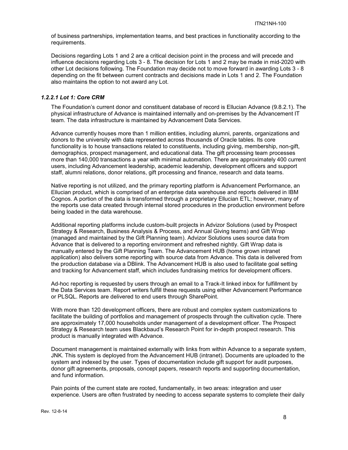of business partnerships, implementation teams, and best practices in functionality according to the requirements.

Decisions regarding Lots 1 and 2 are a critical decision point in the process and will precede and influence decisions regarding Lots 3 - 8. The decision for Lots 1 and 2 may be made in mid-2020 with other Lot decisions following. The Foundation may decide not to move forward in awarding Lots 3 - 8 depending on the fit between current contracts and decisions made in Lots 1 and 2. The Foundation also maintains the option to not award any Lot.

#### <span id="page-7-0"></span>*1.2.2.1 Lot 1: Core CRM*

The Foundation's current donor and constituent database of record is Ellucian Advance (9.8.2.1). The physical infrastructure of Advance is maintained internally and on-premises by the Advancement IT team. The data infrastructure is maintained by Advancement Data Services.

Advance currently houses more than 1 million entities, including alumni, parents, organizations and donors to the university with data represented across thousands of Oracle tables. Its core functionality is to house transactions related to constituents, including giving, membership, non-gift, demographics, prospect management, and educational data. The gift processing team processes more than 140,000 transactions a year with minimal automation. There are approximately 400 current users, including Advancement leadership, academic leadership, development officers and support staff, alumni relations, donor relations, gift processing and finance, research and data teams.

Native reporting is not utilized, and the primary reporting platform is Advancement Performance, an Ellucian product, which is comprised of an enterprise data warehouse and reports delivered in IBM Cognos. A portion of the data is transformed through a proprietary Ellucian ETL; however, many of the reports use data created through internal stored procedures in the production environment before being loaded in the data warehouse.

Additional reporting platforms include custom-built projects in Advizor Solutions (used by Prospect Strategy & Research, Business Analysis & Process, and Annual Giving teams) and Gift Wrap (managed and maintained by the Gift Planning team). Advizor Solutions uses source data from Advance that is delivered to a reporting environment and refreshed nightly. Gift Wrap data is manually entered by the Gift Planning Team. The Advancement HUB (home grown intranet application) also delivers some reporting with source data from Advance. This data is delivered from the production database via a DBlink. The Advancement HUB is also used to facilitate goal setting and tracking for Advancement staff, which includes fundraising metrics for development officers.

Ad-hoc reporting is requested by users through an email to a Track-It linked inbox for fulfillment by the Data Services team. Report writers fulfill these requests using either Advancement Performance or PLSQL. Reports are delivered to end users through SharePoint.

With more than 120 development officers, there are robust and complex system customizations to facilitate the building of portfolios and management of prospects through the cultivation cycle. There are approximately 17,000 households under management of a development officer. The Prospect Strategy & Research team uses Blackbaud's Research Point for in-depth prospect research. This product is manually integrated with Advance.

Document management is maintained externally with links from within Advance to a separate system, JNK. This system is deployed from the Advancement HUB (intranet). Documents are uploaded to the system and indexed by the user. Types of documentation include gift support for audit purposes, donor gift agreements, proposals, concept papers, research reports and supporting documentation, and fund information.

Pain points of the current state are rooted, fundamentally, in two areas: integration and user experience. Users are often frustrated by needing to access separate systems to complete their daily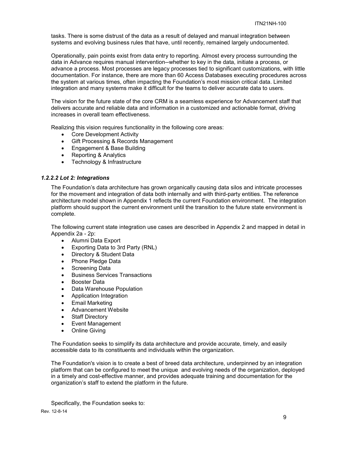tasks. There is some distrust of the data as a result of delayed and manual integration between systems and evolving business rules that have, until recently, remained largely undocumented.

Operationally, pain points exist from data entry to reporting. Almost every process surrounding the data in Advance requires manual intervention--whether to key in the data, initiate a process, or advance a process. Most processes are legacy processes tied to significant customizations, with little documentation. For instance, there are more than 60 Access Databases executing procedures across the system at various times, often impacting the Foundation's most mission critical data. Limited integration and many systems make it difficult for the teams to deliver accurate data to users.

The vision for the future state of the core CRM is a seamless experience for Advancement staff that delivers accurate and reliable data and information in a customized and actionable format, driving increases in overall team effectiveness.

Realizing this vision requires functionality in the following core areas:

- Core Development Activity
- Gift Processing & Records Management
- Engagement & Base Building
- Reporting & Analytics
- Technology & Infrastructure

#### <span id="page-8-0"></span>*1.2.2.2 Lot 2: Integrations*

The Foundation's data architecture has grown organically causing data silos and intricate processes for the movement and integration of data both internally and with third-party entities. The reference architecture model shown in Appendix 1 reflects the current Foundation environment. The integration platform should support the current environment until the transition to the future state environment is complete.

The following current state integration use cases are described in Appendix 2 and mapped in detail in Appendix 2a - 2p:

- Alumni Data Export
- Exporting Data to 3rd Party (RNL)
- Directory & Student Data
- Phone Pledge Data
- Screening Data
- Business Services Transactions
- Booster Data
- Data Warehouse Population
- Application Integration
- Email Marketing
- Advancement Website
- Staff Directory
- Event Management
- Online Giving

The Foundation seeks to simplify its data architecture and provide accurate, timely, and easily accessible data to its constituents and individuals within the organization.

The Foundation's vision is to create a best of breed data architecture, underpinned by an integration platform that can be configured to meet the unique and evolving needs of the organization, deployed in a timely and cost-effective manner, and provides adequate training and documentation for the organization's staff to extend the platform in the future.

Specifically, the Foundation seeks to: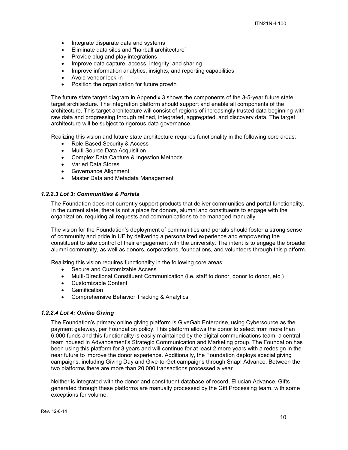- Integrate disparate data and systems
- Eliminate data silos and "hairball architecture"
- Provide plug and play integrations
- Improve data capture, access, integrity, and sharing
- Improve information analytics, insights, and reporting capabilities
- Avoid vendor lock-in
- Position the organization for future growth

The future state target diagram in Appendix 3 shows the components of the 3-5-year future state target architecture. The integration platform should support and enable all components of the architecture. This target architecture will consist of regions of increasingly trusted data beginning with raw data and progressing through refined, integrated, aggregated, and discovery data. The target architecture will be subject to rigorous data governance.

Realizing this vision and future state architecture requires functionality in the following core areas:

- Role-Based Security & Access
- Multi-Source Data Acquisition
- Complex Data Capture & Ingestion Methods
- Varied Data Stores
- Governance Alignment
- Master Data and Metadata Management

#### <span id="page-9-0"></span>*1.2.2.3 Lot 3: Communities & Portals*

The Foundation does not currently support products that deliver communities and portal functionality. In the current state, there is not a place for donors, alumni and constituents to engage with the organization, requiring all requests and communications to be managed manually.

The vision for the Foundation's deployment of communities and portals should foster a strong sense of community and pride in UF by delivering a personalized experience and empowering the constituent to take control of their engagement with the university. The intent is to engage the broader alumni community, as well as donors, corporations, foundations, and volunteers through this platform.

Realizing this vision requires functionality in the following core areas:

- Secure and Customizable Access
- Multi-Directional Constituent Communication (i.e. staff to donor, donor to donor, etc.)
- Customizable Content
- Gamification
- Comprehensive Behavior Tracking & Analytics

#### <span id="page-9-1"></span>*1.2.2.4 Lot 4: Online Giving*

The Foundation's primary online giving platform is GiveGab Enterprise, using Cybersource as the payment gateway, per Foundation policy. This platform allows the donor to select from more than 6,000 funds and this functionality is easily maintained by the digital communications team, a central team housed in Advancement's Strategic Communication and Marketing group. The Foundation has been using this platform for 3 years and will continue for at least 2 more years with a redesign in the near future to improve the donor experience. Additionally, the Foundation deploys special giving campaigns, including Giving Day and Give-to-Get campaigns through Snap! Advance. Between the two platforms there are more than 20,000 transactions processed a year.

Neither is integrated with the donor and constituent database of record, Ellucian Advance. Gifts generated through these platforms are manually processed by the Gift Processing team, with some exceptions for volume.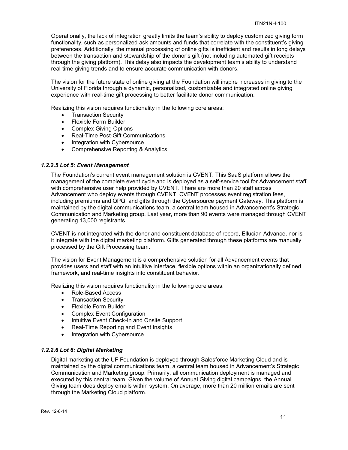Operationally, the lack of integration greatly limits the team's ability to deploy customized giving form functionality, such as personalized ask amounts and funds that correlate with the constituent's giving preferences. Additionally, the manual processing of online gifts is inefficient and results in long delays between the transaction and stewardship of the donor's gift (not including automated gift receipts through the giving platform). This delay also impacts the development team's ability to understand real-time giving trends and to ensure accurate communication with donors.

The vision for the future state of online giving at the Foundation will inspire increases in giving to the University of Florida through a dynamic, personalized, customizable and integrated online giving experience with real-time gift processing to better facilitate donor communication.

Realizing this vision requires functionality in the following core areas:

- Transaction Security
- Flexible Form Builder
- Complex Giving Options
- Real-Time Post-Gift Communications
- Integration with Cybersource
- Comprehensive Reporting & Analytics

#### <span id="page-10-0"></span>*1.2.2.5 Lot 5: Event Management*

The Foundation's current event management solution is CVENT. This SaaS platform allows the management of the complete event cycle and is deployed as a self-service tool for Advancement staff with comprehensive user help provided by CVENT. There are more than 20 staff across Advancement who deploy events through CVENT. CVENT processes event registration fees, including premiums and QPQ, and gifts through the Cybersource payment Gateway. This platform is maintained by the digital communications team, a central team housed in Advancement's Strategic Communication and Marketing group. Last year, more than 90 events were managed through CVENT generating 13,000 registrants.

CVENT is not integrated with the donor and constituent database of record, Ellucian Advance, nor is it integrate with the digital marketing platform. Gifts generated through these platforms are manually processed by the Gift Processing team.

The vision for Event Management is a comprehensive solution for all Advancement events that provides users and staff with an intuitive interface, flexible options within an organizationally defined framework, and real-time insights into constituent behavior.

Realizing this vision requires functionality in the following core areas:

- Role-Based Access
- Transaction Security
- Flexible Form Builder
- Complex Event Configuration
- Intuitive Event Check-In and Onsite Support
- Real-Time Reporting and Event Insights
- Integration with Cybersource

# <span id="page-10-1"></span>*1.2.2.6 Lot 6: Digital Marketing*

Digital marketing at the UF Foundation is deployed through Salesforce Marketing Cloud and is maintained by the digital communications team, a central team housed in Advancement's Strategic Communication and Marketing group. Primarily, all communication deployment is managed and executed by this central team. Given the volume of Annual Giving digital campaigns, the Annual Giving team does deploy emails within system. On average, more than 20 million emails are sent through the Marketing Cloud platform.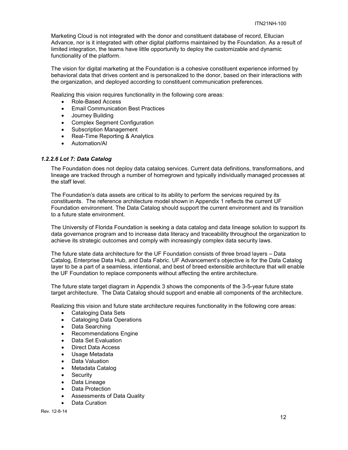Marketing Cloud is not integrated with the donor and constituent database of record, Ellucian Advance, nor is it integrated with other digital platforms maintained by the Foundation. As a result of limited integration, the teams have little opportunity to deploy the customizable and dynamic functionality of the platform.

The vision for digital marketing at the Foundation is a cohesive constituent experience informed by behavioral data that drives content and is personalized to the donor, based on their interactions with the organization, and deployed according to constituent communication preferences.

Realizing this vision requires functionality in the following core areas:

- Role-Based Access
- Email Communication Best Practices
- Journey Building
- Complex Segment Configuration
- Subscription Management
- Real-Time Reporting & Analytics
- Automation/AI

#### <span id="page-11-0"></span>*1.2.2.6 Lot 7: Data Catalog*

The Foundation does not deploy data catalog services. Current data definitions, transformations, and lineage are tracked through a number of homegrown and typically individually managed processes at the staff level.

The Foundation's data assets are critical to its ability to perform the services required by its constituents. The reference architecture model shown in Appendix 1 reflects the current UF Foundation environment. The Data Catalog should support the current environment and its transition to a future state environment.

The University of Florida Foundation is seeking a data catalog and data lineage solution to support its data governance program and to increase data literacy and traceability throughout the organization to achieve its strategic outcomes and comply with increasingly complex data security laws.

The future state data architecture for the UF Foundation consists of three broad layers – Data Catalog, Enterprise Data Hub, and Data Fabric. UF Advancement's objective is for the Data Catalog layer to be a part of a seamless, intentional, and best of breed extensible architecture that will enable the UF Foundation to replace components without affecting the entire architecture.

The future state target diagram in Appendix 3 shows the components of the 3-5-year future state target architecture. The Data Catalog should support and enable all components of the architecture.

Realizing this vision and future state architecture requires functionality in the following core areas:

- Cataloging Data Sets
- Cataloging Data Operations
- Data Searching
- Recommendations Engine
- Data Set Evaluation
- Direct Data Access
- Usage Metadata
- Data Valuation
- Metadata Catalog
- Security
- Data Lineage
- Data Protection
- Assessments of Data Quality
- Data Curation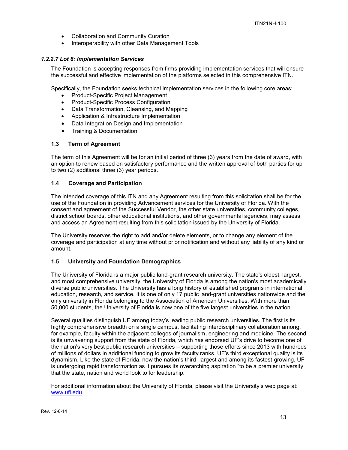- Collaboration and Community Curation
- Interoperability with other Data Management Tools

#### <span id="page-12-0"></span>*1.2.2.7 Lot 8: Implementation Services*

The Foundation is accepting responses from firms providing implementation services that will ensure the successful and effective implementation of the platforms selected in this comprehensive ITN.

Specifically, the Foundation seeks technical implementation services in the following core areas:

- Product-Specific Project Management
- Product-Specific Process Configuration
- Data Transformation, Cleansing, and Mapping
- Application & Infrastructure Implementation
- Data Integration Design and Implementation
- Training & Documentation

# <span id="page-12-1"></span>**1.3 Term of Agreement**

The term of this Agreement will be for an initial period of three (3) years from the date of award, with an option to renew based on satisfactory performance and the written approval of both parties for up to two (2) additional three (3) year periods.

# <span id="page-12-2"></span>**1.4 Coverage and Participation**

The intended coverage of this ITN and any Agreement resulting from this solicitation shall be for the use of the Foundation in providing Advancement services for the University of Florida. With the consent and agreement of the Successful Vendor, the other state universities, community colleges, district school boards, other educational institutions, and other governmental agencies, may assess and access an Agreement resulting from this solicitation issued by the University of Florida.

The University reserves the right to add and/or delete elements, or to change any element of the coverage and participation at any time without prior notification and without any liability of any kind or amount.

#### <span id="page-12-3"></span>**1.5 University and Foundation Demographics**

The University of Florida is a major public land-grant research university. The state's oldest, largest, and most comprehensive university, the University of Florida is among the nation's most academically diverse public universities. The University has a long history of established programs in international education, research, and service. It is one of only 17 public land-grant universities nationwide and the only university in Florida belonging to the Association of American Universities. With more than 50,000 students, the University of Florida is now one of the five largest universities in the nation.

Several qualities distinguish UF among today's leading public research universities. The first is its highly comprehensive breadth on a single campus, facilitating interdisciplinary collaboration among, for example, faculty within the adjacent colleges of journalism, engineering and medicine. The second is its unwavering support from the state of Florida, which has endorsed UF's drive to become one of the nation's very best public research universities – supporting those efforts since 2013 with hundreds of millions of dollars in additional funding to grow its faculty ranks. UF's third exceptional quality is its dynamism. Like the state of Florida, now the nation's third- largest and among its fastest-growing, UF is undergoing rapid transformation as it pursues its overarching aspiration "to be a premier university that the state, nation and world look to for leadership."

For additional information about the University of Florida, please visit the University's web page at: [www.ufl.edu.](http://www.ufl.edu/)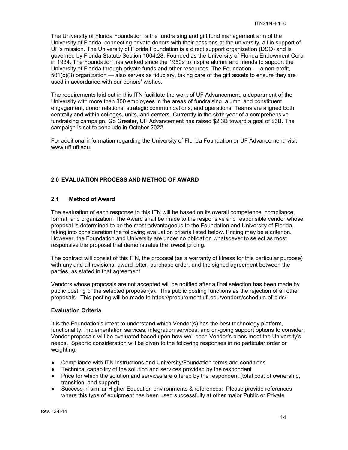The University of Florida Foundation is the fundraising and gift fund management arm of the University of Florida, connecting private donors with their passions at the university, all in support of UF's mission. The University of Florida Foundation is a direct support organization (DSO) and is governed by Florida Statute Section 1004.28. Founded as the University of Florida Endowment Corp. in 1934. The Foundation has worked since the 1950s to inspire alumni and friends to support the University of Florida through private funds and other resources. The Foundation — a non-profit, 501(c)(3) organization — also serves as fiduciary, taking care of the gift assets to ensure they are used in accordance with our donors' wishes.

The requirements laid out in this ITN facilitate the work of UF Advancement, a department of the University with more than 300 employees in the areas of fundraising, alumni and constituent engagement, donor relations, strategic communications, and operations. Teams are aligned both centrally and within colleges, units, and centers. Currently in the sixth year of a comprehensive fundraising campaign, Go Greater, UF Advancement has raised \$2.3B toward a goal of \$3B. The campaign is set to conclude in October 2022.

For additional information regarding the University of Florida Foundation or UF Advancement, visit [www.uff.ufl.edu.](http://www.uff.ufl.edu/)

# <span id="page-13-0"></span>**2.0 EVALUATION PROCESS AND METHOD OF AWARD**

# <span id="page-13-1"></span>**2.1 Method of Award**

The evaluation of each response to this ITN will be based on its overall competence, compliance, format, and organization. The Award shall be made to the responsive and responsible vendor whose proposal is determined to be the most advantageous to the Foundation and University of Florida, taking into consideration the following evaluation criteria listed below. Pricing may be a criterion. However, the Foundation and University are under no obligation whatsoever to select as most responsive the proposal that demonstrates the lowest pricing.

The contract will consist of this ITN, the proposal (as a warranty of fitness for this particular purpose) with any and all revisions, award letter, purchase order, and the signed agreement between the parties, as stated in that agreement.

Vendors whose proposals are not accepted will be notified after a final selection has been made by public posting of the selected proposer(s). This public posting functions as the rejection of all other proposals. This posting will be made to https://procurement.ufl.edu/vendors/schedule-of-bids/

#### **Evaluation Criteria**

It is the Foundation's intent to understand which Vendor(s) has the best technology platform, functionality, implementation services, integration services, and on-going support options to consider. Vendor proposals will be evaluated based upon how well each Vendor's plans meet the University's needs. Specific consideration will be given to the following responses in no particular order or weighting:

- Compliance with ITN instructions and University/Foundation terms and conditions
- Technical capability of the solution and services provided by the respondent
- Price for which the solution and services are offered by the respondent (total cost of ownership, transition, and support)
- Success in similar Higher Education environments & references: Please provide references where this type of equipment has been used successfully at other major Public or Private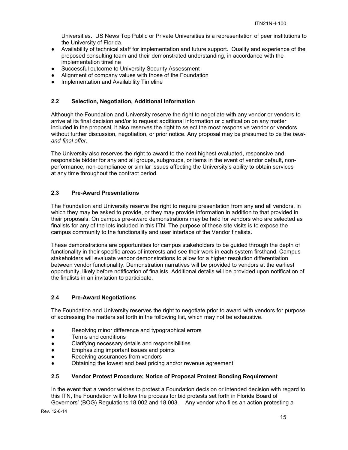Universities. US News Top Public or Private Universities is a representation of peer institutions to the University of Florida.

- Availability of technical staff for implementation and future support. Quality and experience of the proposed consulting team and their demonstrated understanding, in accordance with the implementation timeline
- Successful outcome to University Security Assessment
- Alignment of company values with those of the Foundation
- Implementation and Availability Timeline

#### <span id="page-14-0"></span>**2.2 Selection, Negotiation, Additional Information**

Although the Foundation and University reserve the right to negotiate with any vendor or vendors to arrive at its final decision and/or to request additional information or clarification on any matter included in the proposal, it also reserves the right to select the most responsive vendor or vendors without further discussion, negotiation, or prior notice. Any proposal may be presumed to be the *bestand-final offer.*

The University also reserves the right to award to the next highest evaluated, responsive and responsible bidder for any and all groups, subgroups, or items in the event of vendor default, nonperformance, non-compliance or similar issues affecting the University's ability to obtain services at any time throughout the contract period.

# <span id="page-14-1"></span>**2.3 Pre-Award Presentations**

The Foundation and University reserve the right to require presentation from any and all vendors, in which they may be asked to provide, or they may provide information in addition to that provided in their proposals. On campus pre-award demonstrations may be held for vendors who are selected as finalists for any of the lots included in this ITN. The purpose of these site visits is to expose the campus community to the functionality and user interface of the Vendor finalists.

These demonstrations are opportunities for campus stakeholders to be guided through the depth of functionality in their specific areas of interests and see their work in each system firsthand. Campus stakeholders will evaluate vendor demonstrations to allow for a higher resolution differentiation between vendor functionality. Demonstration narratives will be provided to vendors at the earliest opportunity, likely before notification of finalists. Additional details will be provided upon notification of the finalists in an invitation to participate.

# <span id="page-14-2"></span>**2.4 Pre-Award Negotiations**

The Foundation and University reserves the right to negotiate prior to award with vendors for purpose of addressing the matters set forth in the following list, which may not be exhaustive.

- Resolving minor difference and typographical errors
- Terms and conditions
- Clarifying necessary details and responsibilities
- Emphasizing important issues and points
- Receiving assurances from vendors
- Obtaining the lowest and best pricing and/or revenue agreement

#### <span id="page-14-3"></span>**2.5 Vendor Protest Procedure; Notice of Proposal Protest Bonding Requirement**

In the event that a vendor wishes to protest a Foundation decision or intended decision with regard to this ITN, the Foundation will follow the process for bid protests set forth in Florida Board of Governors' (BOG) Regulations 18.002 and 18.003. Any vendor who files an action protesting a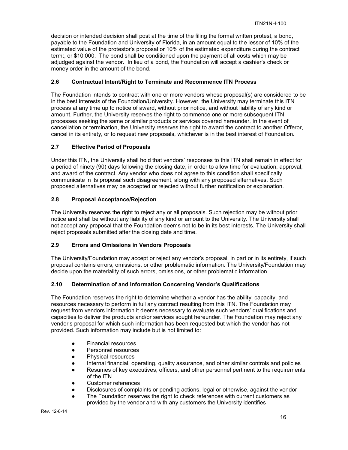decision or intended decision shall post at the time of the filing the formal written protest, a bond, payable to the Foundation and University of Florida, in an amount equal to the lessor of 10% of the estimated value of the protestor's proposal or 10% of the estimated expenditure during the contract term:, or \$10,000. The bond shall be conditioned upon the payment of all costs which may be adjudged against the vendor. In lieu of a bond, the Foundation will accept a cashier's check or money order in the amount of the bond.

# <span id="page-15-0"></span>**2.6 Contractual Intent/Right to Terminate and Recommence ITN Process**

The Foundation intends to contract with one or more vendors whose proposal(s) are considered to be in the best interests of the Foundation/University. However, the University may terminate this ITN process at any time up to notice of award, without prior notice, and without liability of any kind or amount. Further, the University reserves the right to commence one or more subsequent ITN processes seeking the same or similar products or services covered hereunder. In the event of cancellation or termination, the University reserves the right to award the contract to another Offeror, cancel in its entirety, or to request new proposals, whichever is in the best interest of Foundation.

# <span id="page-15-1"></span>**2.7 Effective Period of Proposals**

Under this ITN, the University shall hold that vendors' responses to this ITN shall remain in effect for a period of ninety (90) days following the closing date, in order to allow time for evaluation, approval, and award of the contract. Any vendor who does not agree to this condition shall specifically communicate in its proposal such disagreement, along with any proposed alternatives. Such proposed alternatives may be accepted or rejected without further notification or explanation.

# <span id="page-15-2"></span>**2.8 Proposal Acceptance/Rejection**

The University reserves the right to reject any or all proposals. Such rejection may be without prior notice and shall be without any liability of any kind or amount to the University. The University shall not accept any proposal that the Foundation deems not to be in its best interests. The University shall reject proposals submitted after the closing date and time.

# <span id="page-15-3"></span>**2.9 Errors and Omissions in Vendors Proposals**

The University/Foundation may accept or reject any vendor's proposal, in part or in its entirety, if such proposal contains errors, omissions, or other problematic information. The University/Foundation may decide upon the materiality of such errors, omissions, or other problematic information.

# <span id="page-15-4"></span>**2.10 Determination of and Information Concerning Vendor's Qualifications**

The Foundation reserves the right to determine whether a vendor has the ability, capacity, and resources necessary to perform in full any contract resulting from this ITN. The Foundation may request from vendors information it deems necessary to evaluate such vendors' qualifications and capacities to deliver the products and/or services sought hereunder. The Foundation may reject any vendor's proposal for which such information has been requested but which the vendor has not provided. Such information may include but is not limited to:

- **Financial resources**
- Personnel resources
- Physical resources
- Internal financial, operating, quality assurance, and other similar controls and policies
- Resumes of key executives, officers, and other personnel pertinent to the requirements of the ITN
- Customer references
- Disclosures of complaints or pending actions, legal or otherwise, against the vendor
- The Foundation reserves the right to check references with current customers as provided by the vendor and with any customers the University identifies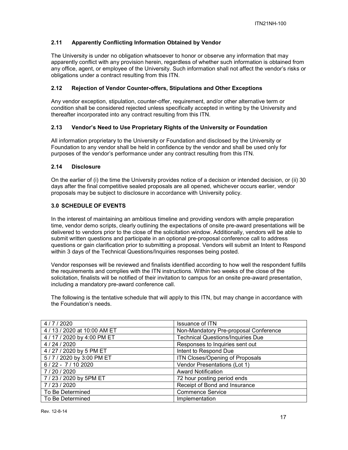# <span id="page-16-0"></span>**2.11 Apparently Conflicting Information Obtained by Vendor**

The University is under no obligation whatsoever to honor or observe any information that may apparently conflict with any provision herein, regardless of whether such information is obtained from any office, agent, or employee of the University. Such information shall not affect the vendor's risks or obligations under a contract resulting from this ITN.

# <span id="page-16-1"></span>**2.12 Rejection of Vendor Counter-offers, Stipulations and Other Exceptions**

Any vendor exception, stipulation, counter-offer, requirement, and/or other alternative term or condition shall be considered rejected unless specifically accepted in writing by the University and thereafter incorporated into any contract resulting from this ITN.

# <span id="page-16-2"></span>**2.13 Vendor's Need to Use Proprietary Rights of the University or Foundation**

All information proprietary to the University or Foundation and disclosed by the University or Foundation to any vendor shall be held in confidence by the vendor and shall be used only for purposes of the vendor's performance under any contract resulting from this ITN.

# <span id="page-16-3"></span>**2.14 Disclosure**

On the earlier of (i) the time the University provides notice of a decision or intended decision, or (ii) 30 days after the final competitive sealed proposals are all opened, whichever occurs earlier, vendor proposals may be subject to disclosure in accordance with University policy.

# <span id="page-16-4"></span>**3.0 SCHEDULE OF EVENTS**

In the interest of maintaining an ambitious timeline and providing vendors with ample preparation time, vendor demo scripts, clearly outlining the expectations of onsite pre-award presentations will be delivered to vendors prior to the close of the solicitation window. Additionally, vendors will be able to submit written questions and participate in an optional pre-proposal conference call to address questions or gain clarification prior to submitting a proposal. Vendors will submit an Intent to Respond within 3 days of the Technical Questions/Inquiries responses being posted.

Vendor responses will be reviewed and finalists identified according to how well the respondent fulfills the requirements and complies with the ITN instructions. Within two weeks of the close of the solicitation, finalists will be notified of their invitation to campus for an onsite pre-award presentation, including a mandatory pre-award conference call.

The following is the tentative schedule that will apply to this ITN, but may change in accordance with the Foundation's needs.

| 4/7/2020                     | <b>Issuance of ITN</b>                   |
|------------------------------|------------------------------------------|
| 4 / 13 / 2020 at 10:00 AM ET | Non-Mandatory Pre-proposal Conference    |
| 4 / 17 / 2020 by 4:00 PM ET  | <b>Technical Questions/Inquiries Due</b> |
| 4 / 24 / 2020                | Responses to Inquiries sent out          |
| 4 / 27 / 2020 by 5 PM ET     | Intent to Respond Due                    |
| 5/7/2020 by 3:00 PM ET       | ITN Closes/Opening of Proposals          |
| $6/22 - 7/102020$            | Vendor Presentations (Lot 1)             |
| 7/20/2020                    | <b>Award Notification</b>                |
| 7 / 23 / 2020 by 5PM ET      | 72 hour posting period ends              |
| 7/23/2020                    | Receipt of Bond and Insurance            |
| To Be Determined             | <b>Commence Service</b>                  |
| To Be Determined             | Implementation                           |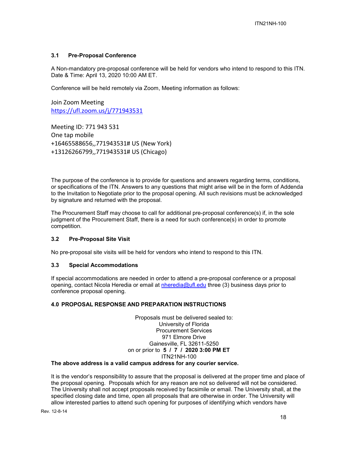# <span id="page-17-0"></span>**3.1 Pre-Proposal Conference**

A Non-mandatory pre-proposal conference will be held for vendors who intend to respond to this ITN. Date & Time: April 13, 2020 10:00 AM ET.

Conference will be held remotely via Zoom, Meeting information as follows:

Join Zoom Meeting https://ufl.zoom.us/j/771943531

Meeting ID: 771 943 531 One tap mobile +16465588656,,771943531# US (New York) +13126266799,,771943531# US (Chicago)

The purpose of the conference is to provide for questions and answers regarding terms, conditions, or specifications of the ITN. Answers to any questions that might arise will be in the form of Addenda to the Invitation to Negotiate prior to the proposal opening. All such revisions must be acknowledged by signature and returned with the proposal.

The Procurement Staff may choose to call for additional pre-proposal conference(s) if, in the sole judgment of the Procurement Staff, there is a need for such conference(s) in order to promote competition.

# <span id="page-17-1"></span>**3.2 Pre-Proposal Site Visit**

No pre-proposal site visits will be held for vendors who intend to respond to this ITN.

#### <span id="page-17-2"></span>**3.3 Special Accommodations**

If special accommodations are needed in order to attend a pre-proposal conference or a proposal opening, contact Nicola Heredia or email at [nheredia@ufl.edu](mailto:nheredia@ufl.edu) three (3) business days prior to conference proposal opening.

#### <span id="page-17-3"></span>**4.0 PROPOSAL RESPONSE AND PREPARATION INSTRUCTIONS**

Proposals must be delivered sealed to: University of Florida Procurement Services 971 Elmore Drive Gainesville, FL 32611-5250 on or prior to **5 / 7 / 2020 3:00 PM ET**  ITN21NH-100

#### **The above address is a valid campus address for any courier service.**

It is the vendor's responsibility to assure that the proposal is delivered at the proper time and place of the proposal opening. Proposals which for any reason are not so delivered will not be considered. The University shall not accept proposals received by facsimile or email. The University shall, at the specified closing date and time, open all proposals that are otherwise in order. The University will allow interested parties to attend such opening for purposes of identifying which vendors have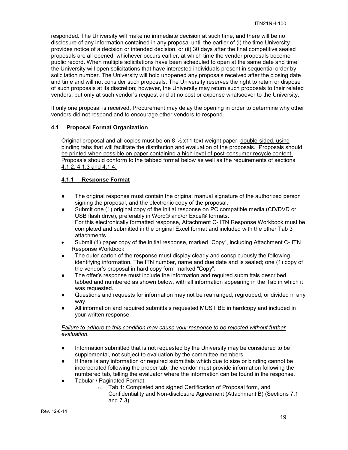responded. The University will make no immediate decision at such time, and there will be no disclosure of any information contained in any proposal until the earlier of (i) the time University provides notice of a decision or intended decision, or (ii) 30 days after the final competitive sealed proposals are all opened, whichever occurs earlier, at which time the vendor proposals become public record. When multiple solicitations have been scheduled to open at the same date and time, the University will open solicitations that have interested individuals present in sequential order by solicitation number. The University will hold unopened any proposals received after the closing date and time and will not consider such proposals. The University reserves the right to retain or dispose of such proposals at its discretion; however, the University may return such proposals to their related vendors, but only at such vendor's request and at no cost or expense whatsoever to the University.

If only one proposal is received, Procurement may delay the opening in order to determine why other vendors did not respond and to encourage other vendors to respond.

#### <span id="page-18-0"></span>**4.1 Proposal Format Organization**

Original proposal and all copies must be on 8-½ x11 text weight paper, double-sided, using binding tabs that will facilitate the distribution and evaluation of the proposals. Proposals should be printed when possible on paper containing a high level of post-consumer recycle content. Proposals should conform to the tabbed format below as well as the requirements of sections 4.1.2, 4.1.3 and 4.1.4.

# <span id="page-18-1"></span>**4.1.1 Response Format**

- The original response must contain the original manual signature of the authorized person signing the proposal, and the electronic copy of the proposal.
- Submit one (1) original copy of the initial response on PC compatible media (CD/DVD or USB flash drive), preferably in Word® and/or Excel® formats. For this electronically formatted response, Attachment C- ITN Response Workbook must be completed and submitted in the original Excel format and included with the other Tab 3 attachments.
- Submit (1) paper copy of the initial response, marked "Copy", including Attachment C-ITN Response Workbook
- The outer carton of the response must display clearly and conspicuously the following identifying information, The ITN number, name and due date and is sealed; one (1) copy of the vendor's proposal in hard copy form marked "Copy".
- The offer's response must include the information and required submittals described, tabbed and numbered as shown below, with all information appearing in the Tab in which it was requested.
- Questions and requests for information may not be rearranged, regrouped, or divided in any way.
- All information and required submittals requested MUST BE in hardcopy and included in your written response.

#### *Failure to adhere to this condition may cause your response to be rejected without further evaluation.*

- Information submitted that is not requested by the University may be considered to be supplemental, not subject to evaluation by the committee members.
- If there is any information or required submittals which due to size or binding cannot be incorporated following the proper tab, the vendor must provide information following the numbered tab, telling the evaluator where the information can be found in the response.
- Tabular / Paginated Format:
	- o Tab 1: Completed and signed Certification of Proposal form, and Confidentiality and Non-disclosure Agreement (Attachment B) (Sections 7.1 and 7.3).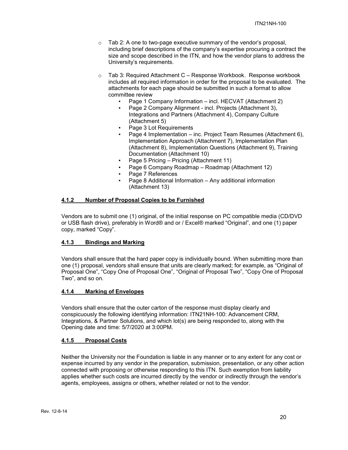- o Tab 2: A one to two-page executive summary of the vendor's proposal, including brief descriptions of the company's expertise procuring a contract the size and scope described in the ITN, and how the vendor plans to address the University's requirements.
- o Tab 3: Required Attachment C Response Workbook. Response workbook includes all required information in order for the proposal to be evaluated. The attachments for each page should be submitted in such a format to allow committee review
	- Page 1 Company Information incl. HECVAT (Attachment 2)
	- Page 2 Company Alignment incl. Projects (Attachment 3), Integrations and Partners (Attachment 4), Company Culture (Attachment 5)
	- Page 3 Lot Requirements
	- Page 4 Implementation inc. Project Team Resumes (Attachment 6), Implementation Approach (Attachment 7), Implementation Plan (Attachment 8), Implementation Questions (Attachment 9), Training Documentation (Attachment 10)
	- Page 5 Pricing Pricing (Attachment 11)
	- Page 6 Company Roadmap Roadmap (Attachment 12)
	- Page 7 References
	- Page 8 Additional Information Any additional information (Attachment 13)

# <span id="page-19-0"></span>**4.1.2 Number of Proposal Copies to be Furnished**

Vendors are to submit one (1) original, of the initial response on PC compatible media (CD/DVD or USB flash drive), preferably in Word® and or / Excel® marked "Original", and one (1) paper copy, marked "Copy".

#### <span id="page-19-1"></span>**4.1.3 Bindings and Marking**

Vendors shall ensure that the hard paper copy is individually bound. When submitting more than one (1) proposal, vendors shall ensure that units are clearly marked; for example, as "Original of Proposal One", "Copy One of Proposal One", "Original of Proposal Two", "Copy One of Proposal Two", and so on.

#### <span id="page-19-2"></span>**4.1.4 Marking of Envelopes**

Vendors shall ensure that the outer carton of the response must display clearly and conspicuously the following identifying information: ITN21NH-100: Advancement CRM, Integrations, & Partner Solutions, and which lot(s) are being responded to, along with the Opening date and time: 5/7/2020 at 3:00PM.

# <span id="page-19-3"></span>**4.1.5 Proposal Costs**

Neither the University nor the Foundation is liable in any manner or to any extent for any cost or expense incurred by any vendor in the preparation, submission, presentation, or any other action connected with proposing or otherwise responding to this ITN. Such exemption from liability applies whether such costs are incurred directly by the vendor or indirectly through the vendor's agents, employees, assigns or others, whether related or not to the vendor.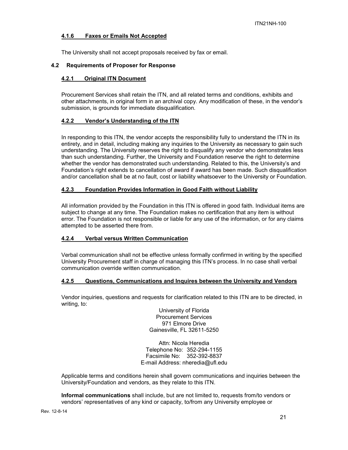#### <span id="page-20-0"></span>**4.1.6 Faxes or Emails Not Accepted**

The University shall not accept proposals received by fax or email.

#### <span id="page-20-2"></span><span id="page-20-1"></span>**4.2 Requirements of Proposer for Response**

#### **4.2.1 Original ITN Document**

Procurement Services shall retain the ITN, and all related terms and conditions, exhibits and other attachments, in original form in an archival copy. Any modification of these, in the vendor's submission, is grounds for immediate disqualification.

#### <span id="page-20-3"></span>**4.2.2 Vendor's Understanding of the ITN**

In responding to this ITN, the vendor accepts the responsibility fully to understand the ITN in its entirety, and in detail, including making any inquiries to the University as necessary to gain such understanding. The University reserves the right to disqualify any vendor who demonstrates less than such understanding. Further, the University and Foundation reserve the right to determine whether the vendor has demonstrated such understanding. Related to this, the University's and Foundation's right extends to cancellation of award if award has been made. Such disqualification and/or cancellation shall be at no fault, cost or liability whatsoever to the University or Foundation.

#### <span id="page-20-4"></span>**4.2.3 Foundation Provides Information in Good Faith without Liability**

All information provided by the Foundation in this ITN is offered in good faith. Individual items are subject to change at any time. The Foundation makes no certification that any item is without error. The Foundation is not responsible or liable for any use of the information, or for any claims attempted to be asserted there from.

#### <span id="page-20-5"></span>**4.2.4 Verbal versus Written Communication**

Verbal communication shall not be effective unless formally confirmed in writing by the specified University Procurement staff in charge of managing this ITN's process. In no case shall verbal communication override written communication.

# <span id="page-20-6"></span>**4.2.5 Questions, Communications and Inquires between the University and Vendors**

Vendor inquiries, questions and requests for clarification related to this ITN are to be directed, in writing, to:

> University of Florida Procurement Services 971 Elmore Drive Gainesville, FL 32611-5250

Attn: Nicola Heredia Telephone No: 352-294-1155 Facsimile No: 352-392-8837 E-mail Address: nheredia@ufl.edu

Applicable terms and conditions herein shall govern communications and inquiries between the University/Foundation and vendors, as they relate to this ITN.

**Informal communications** shall include, but are not limited to, requests from/to vendors or vendors' representatives of any kind or capacity, to/from any University employee or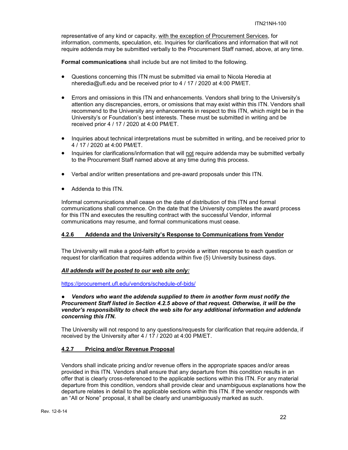representative of any kind or capacity, with the exception of Procurement Services, for information, comments, speculation, etc. Inquiries for clarifications and information that will not require addenda may be submitted verbally to the Procurement Staff named, above, at any time.

**Formal communications** shall include but are not limited to the following.

- Questions concerning this ITN must be submitted via email to Nicola Heredia at nheredia@ufl.edu and be received prior to 4 / 17 / 2020 at 4:00 PM/ET.
- Errors and omissions in this ITN and enhancements. Vendors shall bring to the University's attention any discrepancies, errors, or omissions that may exist within this ITN. Vendors shall recommend to the University any enhancements in respect to this ITN, which might be in the University's or Foundation's best interests. These must be submitted in writing and be received prior 4 / 17 / 2020 at 4:00 PM/ET.
- Inquiries about technical interpretations must be submitted in writing, and be received prior to 4 / 17 / 2020 at 4:00 PM/ET.
- Inquiries for clarifications/information that will not require addenda may be submitted verbally to the Procurement Staff named above at any time during this process.
- Verbal and/or written presentations and pre-award proposals under this ITN.
- Addenda to this ITN.

Informal communications shall cease on the date of distribution of this ITN and formal communications shall commence. On the date that the University completes the award process for this ITN and executes the resulting contract with the successful Vendor, informal communications may resume, and formal communications must cease.

# <span id="page-21-0"></span>**4.2.6 Addenda and the University's Response to Communications from Vendor**

The University will make a good-faith effort to provide a written response to each question or request for clarification that requires addenda within five (5) University business days.

#### *All addenda will be posted to our web site only:*

<https://procurement.ufl.edu/vendors/schedule-of-bids/>

#### ● *Vendors who want the addenda supplied to them in another form must notify the Procurement Staff listed in Section 4.2.5 above of that request. Otherwise, it will be the vendor's responsibility to check the web site for any additional information and addenda concerning this ITN.*

The University will not respond to any questions/requests for clarification that require addenda, if received by the University after 4 / 17 / 2020 at 4:00 PM/ET.

#### <span id="page-21-1"></span>**4.2.7 Pricing and/or Revenue Proposal**

Vendors shall indicate pricing and/or revenue offers in the appropriate spaces and/or areas provided in this ITN. Vendors shall ensure that any departure from this condition results in an offer that is clearly cross-referenced to the applicable sections within this ITN. For any material departure from this condition, vendors shall provide clear and unambiguous explanations how the departure relates in detail to the applicable sections within this ITN. If the vendor responds with an "All or None" proposal, it shall be clearly and unambiguously marked as such.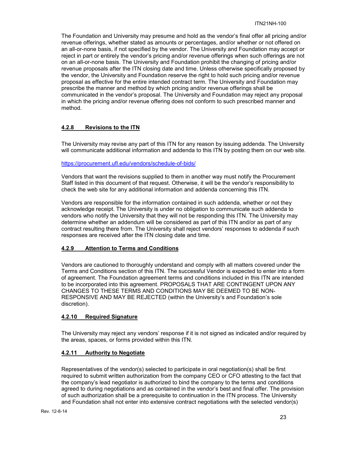The Foundation and University may presume and hold as the vendor's final offer all pricing and/or revenue offerings, whether stated as amounts or percentages, and/or whether or not offered on an all-or-none basis, if not specified by the vendor. The University and Foundation may accept or reject in part or entirely the vendor's pricing and/or revenue offerings when such offerings are not on an all-or-none basis. The University and Foundation prohibit the changing of pricing and/or revenue proposals after the ITN closing date and time. Unless otherwise specifically proposed by the vendor, the University and Foundation reserve the right to hold such pricing and/or revenue proposal as effective for the entire intended contract term. The University and Foundation may prescribe the manner and method by which pricing and/or revenue offerings shall be communicated in the vendor's proposal. The University and Foundation may reject any proposal in which the pricing and/or revenue offering does not conform to such prescribed manner and method.

# <span id="page-22-0"></span>**4.2.8 Revisions to the ITN**

The University may revise any part of this ITN for any reason by issuing addenda. The University will communicate additional information and addenda to this ITN by posting them on our web site.

#### <https://procurement.ufl.edu/vendors/schedule-of-bids/>

Vendors that want the revisions supplied to them in another way must notify the Procurement Staff listed in this document of that request. Otherwise, it will be the vendor's responsibility to check the web site for any additional information and addenda concerning this ITN.

Vendors are responsible for the information contained in such addenda, whether or not they acknowledge receipt. The University is under no obligation to communicate such addenda to vendors who notify the University that they will not be responding this ITN. The University may determine whether an addendum will be considered as part of this ITN and/or as part of any contract resulting there from. The University shall reject vendors' responses to addenda if such responses are received after the ITN closing date and time.

# <span id="page-22-1"></span>**4.2.9 Attention to Terms and Conditions**

Vendors are cautioned to thoroughly understand and comply with all matters covered under the Terms and Conditions section of this ITN. The successful Vendor is expected to enter into a form of agreement. The Foundation agreement terms and conditions included in this ITN are intended to be incorporated into this agreement. PROPOSALS THAT ARE CONTINGENT UPON ANY CHANGES TO THESE TERMS AND CONDITIONS MAY BE DEEMED TO BE NON-RESPONSIVE AND MAY BE REJECTED (within the University's and Foundation's sole discretion).

# <span id="page-22-2"></span>**4.2.10 Required Signature**

The University may reject any vendors' response if it is not signed as indicated and/or required by the areas, spaces, or forms provided within this ITN.

# <span id="page-22-3"></span>**4.2.11 Authority to Negotiate**

Representatives of the vendor(s) selected to participate in oral negotiation(s) shall be first required to submit written authorization from the company CEO or CFO attesting to the fact that the company's lead negotiator is authorized to bind the company to the terms and conditions agreed to during negotiations and as contained in the vendor's best and final offer. The provision of such authorization shall be a prerequisite to continuation in the ITN process. The University and Foundation shall not enter into extensive contract negotiations with the selected vendor(s)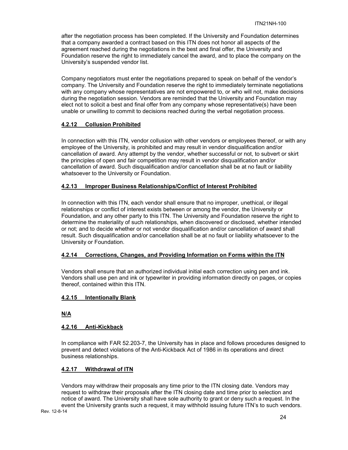after the negotiation process has been completed. If the University and Foundation determines that a company awarded a contract based on this ITN does not honor all aspects of the agreement reached during the negotiations in the best and final offer, the University and Foundation reserve the right to immediately cancel the award, and to place the company on the University's suspended vendor list.

Company negotiators must enter the negotiations prepared to speak on behalf of the vendor's company. The University and Foundation reserve the right to immediately terminate negotiations with any company whose representatives are not empowered to, or who will not, make decisions during the negotiation session. Vendors are reminded that the University and Foundation may elect not to solicit a best and final offer from any company whose representative(s) have been unable or unwilling to commit to decisions reached during the verbal negotiation process.

# <span id="page-23-0"></span>**4.2.12 Collusion Prohibited**

In connection with this ITN, vendor collusion with other vendors or employees thereof, or with any employee of the University, is prohibited and may result in vendor disqualification and/or cancellation of award. Any attempt by the vendor, whether successful or not, to subvert or skirt the principles of open and fair competition may result in vendor disqualification and/or cancellation of award. Such disqualification and/or cancellation shall be at no fault or liability whatsoever to the University or Foundation.

# <span id="page-23-1"></span>**4.2.13 Improper Business Relationships/Conflict of Interest Prohibited**

In connection with this ITN, each vendor shall ensure that no improper, unethical, or illegal relationships or conflict of interest exists between or among the vendor, the University or Foundation, and any other party to this ITN. The University and Foundation reserve the right to determine the materiality of such relationships, when discovered or disclosed, whether intended or not; and to decide whether or not vendor disqualification and/or cancellation of award shall result. Such disqualification and/or cancellation shall be at no fault or liability whatsoever to the University or Foundation.

# <span id="page-23-2"></span>**4.2.14 Corrections, Changes, and Providing Information on Forms within the ITN**

Vendors shall ensure that an authorized individual initial each correction using pen and ink. Vendors shall use pen and ink or typewriter in providing information directly on pages, or copies thereof, contained within this ITN.

# <span id="page-23-3"></span>**4.2.15 Intentionally Blank**

# **N/A**

# <span id="page-23-4"></span>**4.2.16 Anti-Kickback**

In compliance with FAR 52.203-7, the University has in place and follows procedures designed to prevent and detect violations of the Anti-Kickback Act of 1986 in its operations and direct business relationships.

# <span id="page-23-5"></span>**4.2.17 Withdrawal of ITN**

Vendors may withdraw their proposals any time prior to the ITN closing date. Vendors may request to withdraw their proposals after the ITN closing date and time prior to selection and notice of award. The University shall have sole authority to grant or deny such a request. In the event the University grants such a request, it may withhold issuing future ITN's to such vendors.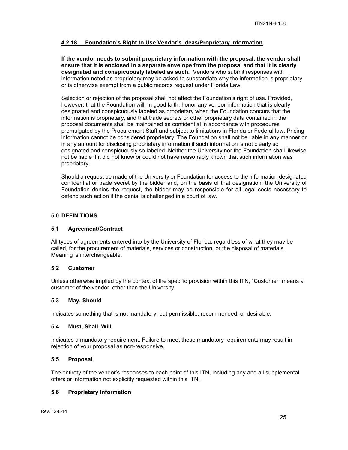# <span id="page-24-0"></span>**4.2.18 Foundation's Right to Use Vendor's Ideas/Proprietary Information**

**If the vendor needs to submit proprietary information with the proposal, the vendor shall ensure that it is enclosed in a separate envelope from the proposal and that it is clearly designated and conspicuously labeled as such.** Vendors who submit responses with information noted as proprietary may be asked to substantiate why the information is proprietary or is otherwise exempt from a public records request under Florida Law.

Selection or rejection of the proposal shall not affect the Foundation's right of use. Provided, however, that the Foundation will, in good faith, honor any vendor information that is clearly designated and conspicuously labeled as proprietary when the Foundation concurs that the information is proprietary, and that trade secrets or other proprietary data contained in the proposal documents shall be maintained as confidential in accordance with procedures promulgated by the Procurement Staff and subject to limitations in Florida or Federal law. Pricing information cannot be considered proprietary. The Foundation shall not be liable in any manner or in any amount for disclosing proprietary information if such information is not clearly so designated and conspicuously so labeled. Neither the University nor the Foundation shall likewise not be liable if it did not know or could not have reasonably known that such information was proprietary.

Should a request be made of the University or Foundation for access to the information designated confidential or trade secret by the bidder and, on the basis of that designation, the University of Foundation denies the request, the bidder may be responsible for all legal costs necessary to defend such action if the denial is challenged in a court of law.

#### <span id="page-24-1"></span>**5.0 DEFINITIONS**

#### <span id="page-24-2"></span>**5.1 Agreement/Contract**

All types of agreements entered into by the University of Florida, regardless of what they may be called, for the procurement of materials, services or construction, or the disposal of materials. Meaning is interchangeable.

#### <span id="page-24-3"></span>**5.2 Customer**

Unless otherwise implied by the context of the specific provision within this ITN, "Customer" means a customer of the vendor, other than the University.

#### <span id="page-24-4"></span>**5.3 May, Should**

Indicates something that is not mandatory, but permissible, recommended, or desirable.

#### <span id="page-24-5"></span>**5.4 Must, Shall, Will**

Indicates a mandatory requirement. Failure to meet these mandatory requirements may result in rejection of your proposal as non-responsive.

#### <span id="page-24-6"></span>**5.5 Proposal**

The entirety of the vendor's responses to each point of this ITN, including any and all supplemental offers or information not explicitly requested within this ITN.

#### <span id="page-24-7"></span>**5.6 Proprietary Information**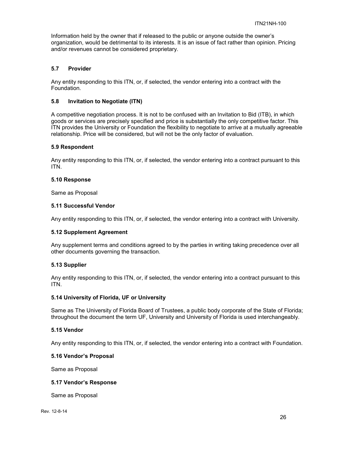Information held by the owner that if released to the public or anyone outside the owner's organization, would be detrimental to its interests. It is an issue of fact rather than opinion. Pricing and/or revenues cannot be considered proprietary.

# <span id="page-25-0"></span>**5.7 Provider**

Any entity responding to this ITN, or, if selected, the vendor entering into a contract with the Foundation.

#### <span id="page-25-1"></span>**5.8 Invitation to Negotiate (ITN)**

A competitive negotiation process. It is not to be confused with an Invitation to Bid (ITB), in which goods or services are precisely specified and price is substantially the only competitive factor. This ITN provides the University or Foundation the flexibility to negotiate to arrive at a mutually agreeable relationship. Price will be considered, but will not be the only factor of evaluation.

#### <span id="page-25-2"></span>**5.9 Respondent**

Any entity responding to this ITN, or, if selected, the vendor entering into a contract pursuant to this ITN.

#### <span id="page-25-3"></span>**5.10 Response**

Same as Proposal

#### <span id="page-25-4"></span>**5.11 Successful Vendor**

Any entity responding to this ITN, or, if selected, the vendor entering into a contract with University.

#### <span id="page-25-5"></span>**5.12 Supplement Agreement**

Any supplement terms and conditions agreed to by the parties in writing taking precedence over all other documents governing the transaction.

#### <span id="page-25-6"></span>**5.13 Supplier**

Any entity responding to this ITN, or, if selected, the vendor entering into a contract pursuant to this ITN.

#### <span id="page-25-7"></span>**5.14 University of Florida, UF or University**

Same as The University of Florida Board of Trustees, a public body corporate of the State of Florida; throughout the document the term UF, University and University of Florida is used interchangeably.

#### <span id="page-25-8"></span>**5.15 Vendor**

Any entity responding to this ITN, or, if selected, the vendor entering into a contract with Foundation.

#### <span id="page-25-9"></span>**5.16 Vendor's Proposal**

Same as Proposal

#### <span id="page-25-10"></span>**5.17 Vendor's Response**

Same as Proposal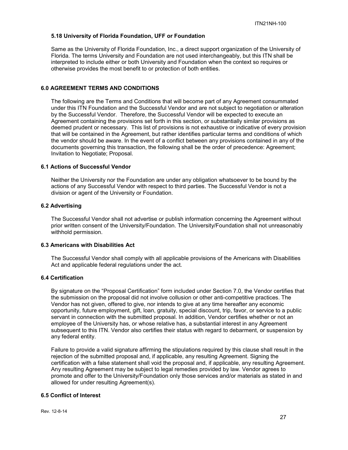#### <span id="page-26-0"></span>**5.18 University of Florida Foundation, UFF or Foundation**

Same as the University of Florida Foundation, Inc., a direct support organization of the University of Florida. The terms University and Foundation are not used interchangeably, but this ITN shall be interpreted to include either or both University and Foundation when the context so requires or otherwise provides the most benefit to or protection of both entities.

# <span id="page-26-1"></span>**6.0 AGREEMENT TERMS AND CONDITIONS**

The following are the Terms and Conditions that will become part of any Agreement consummated under this ITN Foundation and the Successful Vendor and are not subject to negotiation or alteration by the Successful Vendor. Therefore, the Successful Vendor will be expected to execute an Agreement containing the provisions set forth in this section, or substantially similar provisions as deemed prudent or necessary. This list of provisions is not exhaustive or indicative of every provision that will be contained in the Agreement, but rather identifies particular terms and conditions of which the vendor should be aware. In the event of a conflict between any provisions contained in any of the documents governing this transaction, the following shall be the order of precedence: Agreement; Invitation to Negotiate; Proposal.

# <span id="page-26-2"></span>**6.1 Actions of Successful Vendor**

Neither the University nor the Foundation are under any obligation whatsoever to be bound by the actions of any Successful Vendor with respect to third parties. The Successful Vendor is not a division or agent of the University or Foundation.

# <span id="page-26-3"></span>**6.2 Advertising**

The Successful Vendor shall not advertise or publish information concerning the Agreement without prior written consent of the University/Foundation. The University/Foundation shall not unreasonably withhold permission.

#### <span id="page-26-4"></span>**6.3 Americans with Disabilities Act**

The Successful Vendor shall comply with all applicable provisions of the Americans with Disabilities Act and applicable federal regulations under the act.

# <span id="page-26-5"></span>**6.4 Certification**

By signature on the "Proposal Certification" form included under Section 7.0, the Vendor certifies that the submission on the proposal did not involve collusion or other anti-competitive practices. The Vendor has not given, offered to give, nor intends to give at any time hereafter any economic opportunity, future employment, gift, loan, gratuity, special discount, trip, favor, or service to a public servant in connection with the submitted proposal. In addition, Vendor certifies whether or not an employee of the University has, or whose relative has, a substantial interest in any Agreement subsequent to this ITN. Vendor also certifies their status with regard to debarment, or suspension by any federal entity.

Failure to provide a valid signature affirming the stipulations required by this clause shall result in the rejection of the submitted proposal and, if applicable, any resulting Agreement. Signing the certification with a false statement shall void the proposal and, if applicable, any resulting Agreement. Any resulting Agreement may be subject to legal remedies provided by law. Vendor agrees to promote and offer to the University/Foundation only those services and/or materials as stated in and allowed for under resulting Agreement(s).

# <span id="page-26-6"></span>**6.5 Conflict of Interest**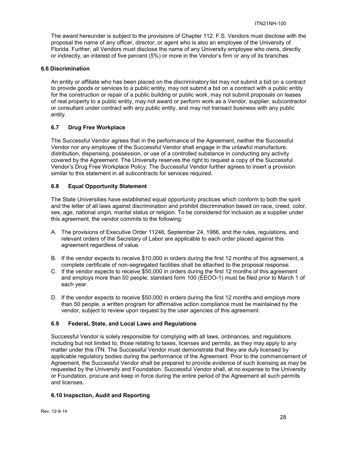The award hereunder is subject to the provisions of Chapter 112, F.S. Vendors must disclose with the proposal the name of any officer, director, or agent who is also an employee of the University of Florida. Further, all Vendors must disclose the name of any University employee who owns, directly or indirectly, an interest of five percent (5%) or more in the Vendor's firm or any of its branches.

# <span id="page-27-0"></span>**6.6 Discrimination**

An entity or affiliate who has been placed on the discriminatory list may not submit a bid on a contract to provide goods or services to a public entity, may not submit a bid on a contract with a public entity for the construction or repair of a public building or public work, may not submit proposals on leases of real property to a public entity, may not award or perform work as a Vendor, supplier, subcontractor or consultant under contract with any public entity, and may not transact business with any public entity.

# <span id="page-27-1"></span>**6.7 Drug Free Workplace**

The Successful Vendor agrees that in the performance of the Agreement, neither the Successful Vendor nor any employee of the Successful Vendor shall engage in the unlawful manufacture, distribution, dispensing, possession, or use of a controlled substance in conducting any activity covered by the Agreement. The University reserves the right to request a copy of the Successful Vendor's Drug Free Workplace Policy. The Successful Vendor further agrees to insert a provision similar to this statement in all subcontracts for services required.

# <span id="page-27-2"></span>**6.8 Equal Opportunity Statement**

The State Universities have established equal opportunity practices which conform to both the spirit and the letter of all laws against discrimination and prohibit discrimination based on race, creed, color, sex, age, national origin, marital status or religion. To be considered for inclusion as a supplier under this agreement, the vendor commits to the following:

- A. The provisions of Executive Order 11246, September 24, 1966, and the rules, regulations, and relevant orders of the Secretary of Labor are applicable to each order placed against this agreement regardless of value.
- B. If the vendor expects to receive \$10,000 in orders during the first 12 months of this agreement, a complete certificate of non-segregated facilities shall be attached to the proposal response.
- C. If the vendor expects to receive \$50,000 in orders during the first 12 months of this agreement and employs more than 50 people, standard form 100 (EEOO-1) must be filed prior to March 1 of each year.
- D. If the vendor expects to receive \$50,000 in orders during the first 12 months and employs more than 50 people, a written program for affirmative action compliance must be maintained by the vendor, subject to review upon request by the user agencies of this agreement.

#### <span id="page-27-3"></span>**6.9 Federal, State, and Local Laws and Regulations**

Successful Vendor is solely responsible for complying with all laws, ordinances, and regulations including but not limited to, those relating to taxes, licenses and permits, as they may apply to any matter under this ITN. The Successful Vendor must demonstrate that they are duly licensed by applicable regulatory bodies during the performance of the Agreement. Prior to the commencement of Agreement, the Successful Vendor shall be prepared to provide evidence of such licensing as may be requested by the University and Foundation. Successful Vendor shall, at no expense to the University or Foundation, procure and keep in force during the entire period of the Agreement all such permits and licenses.

#### <span id="page-27-4"></span>**6.10 Inspection, Audit and Reporting**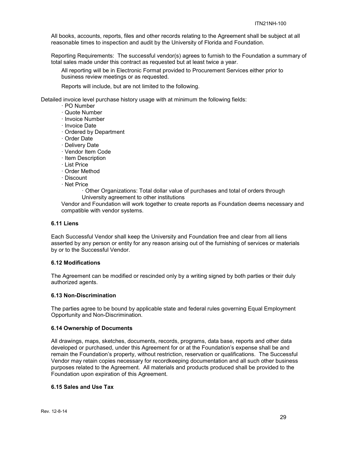All books, accounts, reports, files and other records relating to the Agreement shall be subject at all reasonable times to inspection and audit by the University of Florida and Foundation.

Reporting Requirements: The successful vendor(s) agrees to furnish to the Foundation a summary of total sales made under this contract as requested but at least twice a year.

All reporting will be in Electronic Format provided to Procurement Services either prior to business review meetings or as requested.

Reports will include, but are not limited to the following.

Detailed invoice level purchase history usage with at minimum the following fields:

- · PO Number
- · Quote Number
- · Invoice Number
- · Invoice Date
- · Ordered by Department
- · Order Date
- · Delivery Date
- · Vendor Item Code
- · Item Description
- · List Price
- · Order Method
- · Discount
- · Net Price
	- · Other Organizations: Total dollar value of purchases and total of orders through University agreement to other institutions

Vendor and Foundation will work together to create reports as Foundation deems necessary and compatible with vendor systems.

#### <span id="page-28-0"></span>**6.11 Liens**

Each Successful Vendor shall keep the University and Foundation free and clear from all liens asserted by any person or entity for any reason arising out of the furnishing of services or materials by or to the Successful Vendor.

#### <span id="page-28-1"></span>**6.12 Modifications**

The Agreement can be modified or rescinded only by a writing signed by both parties or their duly authorized agents.

#### <span id="page-28-2"></span>**6.13 Non-Discrimination**

The parties agree to be bound by applicable state and federal rules governing Equal Employment Opportunity and Non-Discrimination.

#### <span id="page-28-3"></span>**6.14 Ownership of Documents**

All drawings, maps, sketches, documents, records, programs, data base, reports and other data developed or purchased, under this Agreement for or at the Foundation's expense shall be and remain the Foundation's property, without restriction, reservation or qualifications. The Successful Vendor may retain copies necessary for recordkeeping documentation and all such other business purposes related to the Agreement. All materials and products produced shall be provided to the Foundation upon expiration of this Agreement.

#### <span id="page-28-4"></span>**6.15 Sales and Use Tax**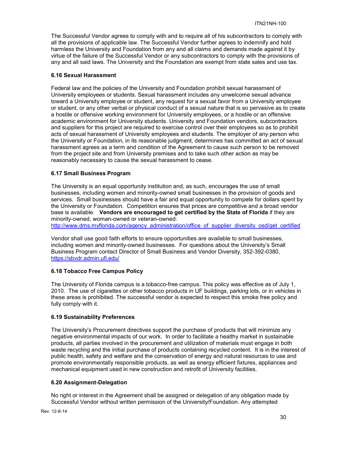The Successful Vendor agrees to comply with and to require all of his subcontractors to comply with all the provisions of applicable law. The Successful Vendor further agrees to indemnify and hold harmless the University and Foundation from any and all claims and demands made against it by virtue of the failure of the Successful Vendor or any subcontractors to comply with the provisions of any and all said laws. The University and the Foundation are exempt from state sales and use tax.

#### <span id="page-29-0"></span>**6.16 Sexual Harassment**

Federal law and the policies of the University and Foundation prohibit sexual harassment of University employees or students. Sexual harassment includes any unwelcome sexual advance toward a University employee or student, any request for a sexual favor from a University employee or student, or any other verbal or physical conduct of a sexual nature that is so pervasive as to create a hostile or offensive working environment for University employees, or a hostile or an offensive academic environment for University students. University and Foundation vendors, subcontractors and suppliers for this project are required to exercise control over their employees so as to prohibit acts of sexual harassment of University employees and students. The employer of any person who the University or Foundation, in its reasonable judgment, determines has committed an act of sexual harassment agrees as a term and condition of the Agreement to cause such person to be removed from the project site and from University premises and to take such other action as may be reasonably necessary to cause the sexual harassment to cease.

# <span id="page-29-1"></span>**6.17 Small Business Program**

The University is an equal opportunity institution and, as such, encourages the use of small businesses, including women and minority-owned small businesses in the provision of goods and services. Small businesses should have a fair and equal opportunity to compete for dollars spent by the University or Foundation. Competition ensures that prices are competitive and a broad vendor base is available. **Vendors are encouraged to get certified by the State of Florida** if they are minority-owned, woman-owned or veteran-owned:

[http://www.dms.myflorida.com/agency\\_administration/office\\_of\\_supplier\\_diversity\\_osd/get\\_certified](http://www.dms.myflorida.com/agency_administration/office_of_supplier_diversity_osd/get_certified)

Vendor shall use good faith efforts to ensure opportunities are available to small businesses, including women and minority-owned businesses. For questions about the University's Small Business Program contact Director of Small Business and Vendor Diversity, 352-392-0380, <https://sbvdr.admin.ufl.edu/>

# <span id="page-29-2"></span>**6.18 Tobacco Free Campus Policy**

The University of Florida campus is a tobacco-free campus. This policy was effective as of July 1, 2010. The use of cigarettes or other tobacco products in UF buildings, parking lots, or in vehicles in these areas is prohibited. The successful vendor is expected to respect this smoke free policy and fully comply with it.

#### <span id="page-29-3"></span>**6.19 Sustainability Preferences**

The University's Procurement directives support the purchase of products that will minimize any negative environmental impacts of our work. In order to facilitate a healthy market in sustainable products, all parties involved in the procurement and utilization of materials must engage in both waste recycling and the initial purchase of products containing recycled content. It is in the interest of public health, safety and welfare and the conservation of energy and natural resources to use and promote environmentally responsible products, as well as energy efficient fixtures, appliances and mechanical equipment used in new construction and retrofit of University facilities.

#### <span id="page-29-4"></span>**6.20 Assignment-Delegation**

No right or interest in the Agreement shall be assigned or delegation of any obligation made by Successful Vendor without written permission of the University/Foundation. Any attempted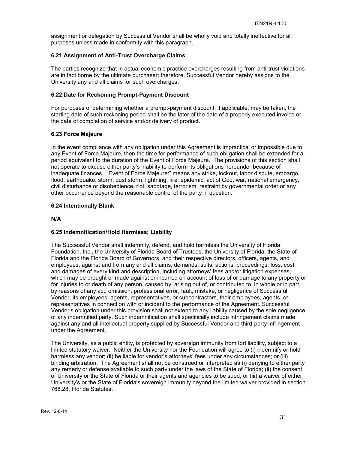assignment or delegation by Successful Vendor shall be wholly void and totally ineffective for all purposes unless made in conformity with this paragraph.

# <span id="page-30-0"></span>**6.21 Assignment of Anti-Trust Overcharge Claims**

The parties recognize that in actual economic practice overcharges resulting from anti-trust violations are in fact borne by the ultimate purchaser; therefore, Successful Vendor hereby assigns to the University any and all claims for such overcharges.

#### <span id="page-30-1"></span>**6.22 Date for Reckoning Prompt-Payment Discount**

For purposes of determining whether a prompt-payment discount, if applicable, may be taken, the starting date of such reckoning period shall be the later of the date of a properly executed invoice or the date of completion of service and/or delivery of product.

# <span id="page-30-2"></span>**6.23 Force Majeure**

In the event compliance with any obligation under this Agreement is impractical or impossible due to any Event of Force Majeure, then the time for performance of such obligation shall be extended for a period equivalent to the duration of the Event of Force Majeure. The provisions of this section shall not operate to excuse either party's inability to perform its obligations hereunder because of inadequate finances. "Event of Force Majeure:" means any strike, lockout, labor dispute, embargo, flood, earthquake, storm, dust storm, lightning, fire, epidemic, act of God, war, national emergency, civil disturbance or disobedience, riot, sabotage, terrorism, restraint by governmental order or any other occurrence beyond the reasonable control of the party in question.

# <span id="page-30-3"></span>**6.24 Intentionally Blank**

**N/A** 

# <span id="page-30-4"></span>**6.25 Indemnification/Hold Harmless; Liability**

The Successful Vendor shall indemnify, defend, and hold harmless the University of Florida Foundation, Inc., the University of Florida Board of Trustees, the University of Florida, the State of Florida and the Florida Board of Governors, and their respective directors, officers, agents, and employees, against and from any and all claims, demands, suits, actions, proceedings, loss, cost, and damages of every kind and description, including attorneys' fees and/or litigation expenses, which may be brought or made against or incurred on account of loss of or damage to any property or for injuries to or death of any person, caused by, arising out of, or contributed to, in whole or in part, by reasons of any act, omission, professional error, fault, mistake, or negligence of Successful Vendor, its employees, agents, representatives, or subcontractors, their employees, agents, or representatives in connection with or incident to the performance of the Agreement. Successful Vendor's obligation under this provision shall not extend to any liability caused by the sole negligence of any indemnified party. Such indemnification shall specifically include infringement claims made against any and all intellectual property supplied by Successful Vendor and third-party infringement under the Agreement.

The University, as a public entity, is protected by sovereign immunity from tort liability, subject to a limited statutory waiver. Neither the University nor the Foundation will agree to (i) indemnify or hold harmless any vendor; (ii) be liable for vendor's attorneys' fees under any circumstances; or (iii) binding arbitration. The Agreement shall not be construed or interpreted as (i) denying to either party any remedy or defense available to such party under the laws of the State of Florida; (ii) the consent of University or the State of Florida or their agents and agencies to be sued; or (iii) a waiver of either University's or the State of Florida's sovereign immunity beyond the limited waiver provided in section 768.28, Florida Statutes.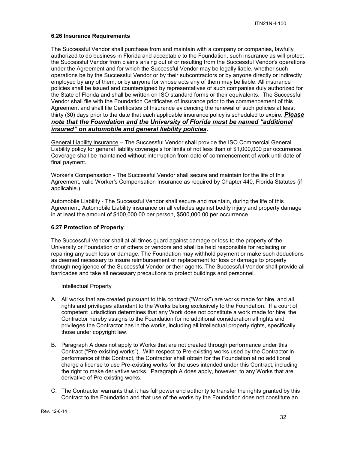#### <span id="page-31-0"></span>**6.26 Insurance Requirements**

The Successful Vendor shall purchase from and maintain with a company or companies, lawfully authorized to do business in Florida and acceptable to the Foundation, such insurance as will protect the Successful Vendor from claims arising out of or resulting from the Successful Vendor's operations under the Agreement and for which the Successful Vendor may be legally liable, whether such operations be by the Successful Vendor or by their subcontractors or by anyone directly or indirectly employed by any of them, or by anyone for whose acts any of them may be liable. All insurance policies shall be issued and countersigned by representatives of such companies duly authorized for the State of Florida and shall be written on ISO standard forms or their equivalents. The Successful Vendor shall file with the Foundation Certificates of Insurance prior to the commencement of this Agreement and shall file Certificates of Insurance evidencing the renewal of such policies at least thirty (30) days prior to the date that each applicable insurance policy is scheduled to expire. *Please note that the Foundation and the University of Florida must be named "additional insured" on automobile and general liability policies.*

General Liability Insurance – The Successful Vendor shall provide the ISO Commercial General Liability policy for general liability coverage's for limits of not less than of \$1,000,000 per occurrence. Coverage shall be maintained without interruption from date of commencement of work until date of final payment.

Worker's Compensation - The Successful Vendor shall secure and maintain for the life of this Agreement, valid Worker's Compensation Insurance as required by Chapter 440, Florida Statutes (if applicable.)

Automobile Liability - The Successful Vendor shall secure and maintain, during the life of this Agreement, Automobile Liability insurance on all vehicles against bodily injury and property damage in at least the amount of \$100,000.00 per person, \$500,000.00 per occurrence.

#### <span id="page-31-1"></span>**6.27 Protection of Property**

The Successful Vendor shall at all times guard against damage or loss to the property of the University or Foundation or of others or vendors and shall be held responsible for replacing or repairing any such loss or damage. The Foundation may withhold payment or make such deductions as deemed necessary to insure reimbursement or replacement for loss or damage to property through negligence of the Successful Vendor or their agents. The Successful Vendor shall provide all barricades and take all necessary precautions to protect buildings and personnel.

#### Intellectual Property

- A. All works that are created pursuant to this contract ("Works") are works made for hire, and all rights and privileges attendant to the Works belong exclusively to the Foundation. If a court of competent jurisdiction determines that any Work does not constitute a work made for hire, the Contractor hereby assigns to the Foundation for no additional consideration all rights and privileges the Contractor has in the works, including all intellectual property rights, specifically those under copyright law.
- B. Paragraph A does not apply to Works that are not created through performance under this Contract ("Pre-existing works"). With respect to Pre-existing works used by the Contractor in performance of this Contract, the Contractor shall obtain for the Foundation at no additional charge a license to use Pre-existing works for the uses intended under this Contract, including the right to make derivative works. Paragraph A does apply, however, to any Works that are derivative of Pre-existing works.
- C. The Contractor warrants that it has full power and authority to transfer the rights granted by this Contract to the Foundation and that use of the works by the Foundation does not constitute an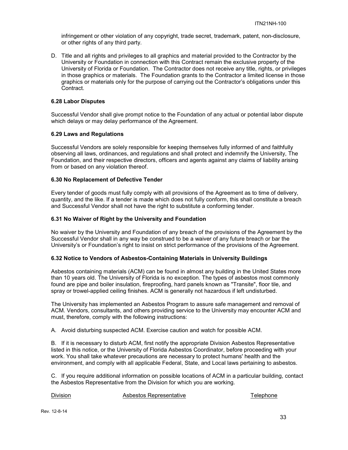infringement or other violation of any copyright, trade secret, trademark, patent, non-disclosure, or other rights of any third party.

D. Title and all rights and privileges to all graphics and material provided to the Contractor by the University or Foundation in connection with this Contract remain the exclusive property of the University of Florida or Foundation. The Contractor does not receive any title, rights, or privileges in those graphics or materials. The Foundation grants to the Contractor a limited license in those graphics or materials only for the purpose of carrying out the Contractor's obligations under this Contract.

#### <span id="page-32-0"></span>**6.28 Labor Disputes**

Successful Vendor shall give prompt notice to the Foundation of any actual or potential labor dispute which delays or may delay performance of the Agreement.

#### <span id="page-32-1"></span>**6.29 Laws and Regulations**

Successful Vendors are solely responsible for keeping themselves fully informed of and faithfully observing all laws, ordinances, and regulations and shall protect and indemnify the University, The Foundation, and their respective directors, officers and agents against any claims of liability arising from or based on any violation thereof.

# <span id="page-32-2"></span>**6.30 No Replacement of Defective Tender**

Every tender of goods must fully comply with all provisions of the Agreement as to time of delivery, quantity, and the like. If a tender is made which does not fully conform, this shall constitute a breach and Successful Vendor shall not have the right to substitute a conforming tender.

# <span id="page-32-3"></span>**6.31 No Waiver of Right by the University and Foundation**

No waiver by the University and Foundation of any breach of the provisions of the Agreement by the Successful Vendor shall in any way be construed to be a waiver of any future breach or bar the University's or Foundation's right to insist on strict performance of the provisions of the Agreement.

#### <span id="page-32-4"></span>**6.32 Notice to Vendors of Asbestos-Containing Materials in University Buildings**

Asbestos containing materials (ACM) can be found in almost any building in the United States more than 10 years old. The University of Florida is no exception. The types of asbestos most commonly found are pipe and boiler insulation, fireproofing, hard panels known as "Transite", floor tile, and spray or trowel-applied ceiling finishes. ACM is generally not hazardous if left undisturbed.

The University has implemented an Asbestos Program to assure safe management and removal of ACM. Vendors, consultants, and others providing service to the University may encounter ACM and must, therefore, comply with the following instructions:

A. Avoid disturbing suspected ACM. Exercise caution and watch for possible ACM.

B. If it is necessary to disturb ACM, first notify the appropriate Division Asbestos Representative listed in this notice, or the University of Florida Asbestos Coordinator, before proceeding with your work. You shall take whatever precautions are necessary to protect humans' health and the environment, and comply with all applicable Federal, State, and Local laws pertaining to asbestos.

C. If you require additional information on possible locations of ACM in a particular building, contact the Asbestos Representative from the Division for which you are working.

Division **Asbestos Representative** Telephone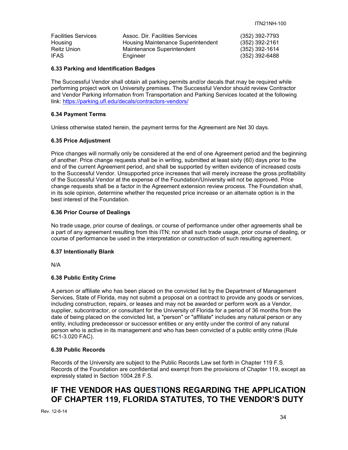| <b>Facilities Services</b> | Assoc. Dir. Facilities Services    | (352) 392-7793   |
|----------------------------|------------------------------------|------------------|
| Housing                    | Housing Maintenance Superintendent | (352) 392-2161   |
| Reitz Union                | Maintenance Superintendent         | $(352)$ 392-1614 |
| IFAS                       | Engineer                           | (352) 392-6488   |

#### <span id="page-33-0"></span>**6.33 Parking and Identification Badges**

The Successful Vendor shall obtain all parking permits and/or decals that may be required while performing project work on University premises. The Successful Vendor should review Contractor and Vendor Parking information from Transportation and Parking Services located at the following link:<https://parking.ufl.edu/decals/contractors-vendors/>

#### <span id="page-33-1"></span>**6.34 Payment Terms**

Unless otherwise stated herein, the payment terms for the Agreement are Net 30 days.

# <span id="page-33-2"></span>**6.35 Price Adjustment**

Price changes will normally only be considered at the end of one Agreement period and the beginning of another. Price change requests shall be in writing, submitted at least sixty (60) days prior to the end of the current Agreement period, and shall be supported by written evidence of increased costs to the Successful Vendor. Unsupported price increases that will merely increase the gross profitability of the Successful Vendor at the expense of the Foundation/University will not be approved. Price change requests shall be a factor in the Agreement extension review process. The Foundation shall, in its sole opinion, determine whether the requested price increase or an alternate option is in the best interest of the Foundation.

# <span id="page-33-3"></span>**6.36 Prior Course of Dealings**

No trade usage, prior course of dealings, or course of performance under other agreements shall be a part of any agreement resulting from this ITN; nor shall such trade usage, prior course of dealing, or course of performance be used in the interpretation or construction of such resulting agreement.

#### <span id="page-33-4"></span>**6.37 Intentionally Blank**

N/A

# <span id="page-33-5"></span>**6.38 Public Entity Crime**

A person or affiliate who has been placed on the convicted list by the Department of Management Services, State of Florida, may not submit a proposal on a contract to provide any goods or services, including construction, repairs, or leases and may not be awarded or perform work as a Vendor, supplier, subcontractor, or consultant for the University of Florida for a period of 36 months from the date of being placed on the convicted list, a "person" or "affiliate" includes any natural person or any entity, including predecessor or successor entities or any entity under the control of any natural person who is active in its management and who has been convicted of a public entity crime (Rule 6C1-3.020 FAC).

#### <span id="page-33-6"></span>**6.39 Public Records**

Records of the University are subject to the Public Records Law set forth in Chapter 119 F.S. Records of the Foundation are confidential and exempt from the provisions of Chapter 119, except as expressly stated in Section 1004.28 F.S.

# **IF THE VENDOR HAS QUESTIONS REGARDING THE APPLICATION OF CHAPTER 119, FLORIDA STATUTES, TO THE VENDOR'S DUTY**

Rev. 12-8-14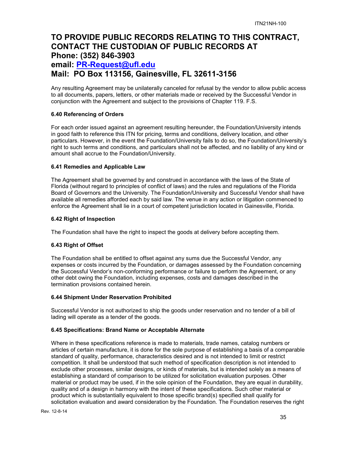# **TO PROVIDE PUBLIC RECORDS RELATING TO THIS CONTRACT, CONTACT THE CUSTODIAN OF PUBLIC RECORDS AT Phone: (352) 846-3903 email: [PR-Request@ufl.edu](mailto:PR-Request@ufl.edu) Mail: PO Box 113156, Gainesville, FL 32611-3156**

Any resulting Agreement may be unilaterally canceled for refusal by the vendor to allow public access to all documents, papers, letters, or other materials made or received by the Successful Vendor in conjunction with the Agreement and subject to the provisions of Chapter 119. F.S.

#### <span id="page-34-0"></span>**6.40 Referencing of Orders**

For each order issued against an agreement resulting hereunder, the Foundation/University intends in good faith to reference this ITN for pricing, terms and conditions, delivery location, and other particulars. However, in the event the Foundation/University fails to do so, the Foundation/University's right to such terms and conditions, and particulars shall not be affected, and no liability of any kind or amount shall accrue to the Foundation/University.

#### <span id="page-34-1"></span>**6.41 Remedies and Applicable Law**

The Agreement shall be governed by and construed in accordance with the laws of the State of Florida (without regard to principles of conflict of laws) and the rules and regulations of the Florida Board of Governors and the University. The Foundation/University and Successful Vendor shall have available all remedies afforded each by said law. The venue in any action or litigation commenced to enforce the Agreement shall lie in a court of competent jurisdiction located in Gainesville, Florida.

#### <span id="page-34-2"></span>**6.42 Right of Inspection**

The Foundation shall have the right to inspect the goods at delivery before accepting them.

#### <span id="page-34-3"></span>**6.43 Right of Offset**

The Foundation shall be entitled to offset against any sums due the Successful Vendor, any expenses or costs incurred by the Foundation, or damages assessed by the Foundation concerning the Successful Vendor's non-conforming performance or failure to perform the Agreement, or any other debt owing the Foundation, including expenses, costs and damages described in the termination provisions contained herein.

#### <span id="page-34-4"></span>**6.44 Shipment Under Reservation Prohibited**

Successful Vendor is not authorized to ship the goods under reservation and no tender of a bill of lading will operate as a tender of the goods.

#### <span id="page-34-5"></span>**6.45 Specifications: Brand Name or Acceptable Alternate**

Where in these specifications reference is made to materials, trade names, catalog numbers or articles of certain manufacture, it is done for the sole purpose of establishing a basis of a comparable standard of quality, performance, characteristics desired and is not intended to limit or restrict competition. It shall be understood that such method of specification description is not intended to exclude other processes, similar designs, or kinds of materials, but is intended solely as a means of establishing a standard of comparison to be utilized for solicitation evaluation purposes. Other material or product may be used, if in the sole opinion of the Foundation, they are equal in durability, quality and of a design in harmony with the intent of these specifications. Such other material or product which is substantially equivalent to those specific brand(s) specified shall qualify for solicitation evaluation and award consideration by the Foundation. The Foundation reserves the right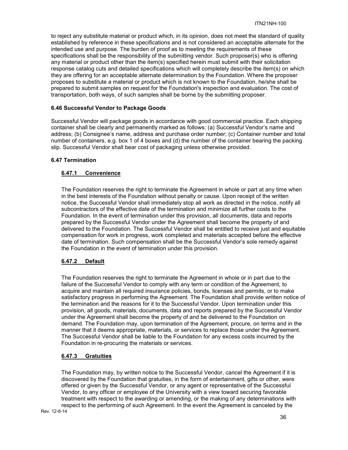to reject any substitute material or product which, in its opinion, does not meet the standard of quality established by reference in these specifications and is not considered an acceptable alternate for the intended use and purpose. The burden of proof as to meeting the requirements of these specifications shall be the responsibility of the submitting vendor. Such proposer(s) who is offering any material or product other than the item(s) specified herein must submit with their solicitation response catalog cuts and detailed specifications which will completely describe the item(s) on which they are offering for an acceptable alternate determination by the Foundation. Where the proposer proposes to substitute a material or product which is not known to the Foundation, he/she shall be prepared to submit samples on request for the Foundation's inspection and evaluation. The cost of transportation, both ways, of such samples shall be borne by the submitting proposer.

# <span id="page-35-0"></span>**6.46 Successful Vendor to Package Goods**

Successful Vendor will package goods in accordance with good commercial practice. Each shipping container shall be clearly and permanently marked as follows: (a) Successful Vendor's name and address; (b) Consignee's name, address and purchase order number; (c) Container number and total number of containers, e.g. box 1 of 4 boxes and (d) the number of the container bearing the packing slip. Successful Vendor shall bear cost of packaging unless otherwise provided.

# <span id="page-35-2"></span><span id="page-35-1"></span>**6.47 Termination**

# **6.47.1 Convenience**

The Foundation reserves the right to terminate the Agreement in whole or part at any time when in the best interests of the Foundation without penalty or cause. Upon receipt of the written notice, the Successful Vendor shall immediately stop all work as directed in the notice, notify all subcontractors of the effective date of the termination and minimize all further costs to the Foundation. In the event of termination under this provision, all documents, data and reports prepared by the Successful Vendor under the Agreement shall become the property of and delivered to the Foundation. The Successful Vendor shall be entitled to receive just and equitable compensation for work in progress, work completed and materials accepted before the effective date of termination. Such compensation shall be the Successful Vendor's sole remedy against the Foundation in the event of termination under this provision.

# <span id="page-35-3"></span>**6.47.2 Default**

The Foundation reserves the right to terminate the Agreement in whole or in part due to the failure of the Successful Vendor to comply with any term or condition of the Agreement, to acquire and maintain all required insurance policies, bonds, licenses and permits, or to make satisfactory progress in performing the Agreement. The Foundation shall provide written notice of the termination and the reasons for it to the Successful Vendor. Upon termination under this provision, all goods, materials, documents, data and reports prepared by the Successful Vendor under the Agreement shall become the property of and be delivered to the Foundation on demand. The Foundation may, upon termination of the Agreement, procure, on terms and in the manner that it deems appropriate, materials, or services to replace those under the Agreement. The Successful Vendor shall be liable to the Foundation for any excess costs incurred by the Foundation in re-procuring the materials or services.

# <span id="page-35-4"></span>**6.47.3 Gratuities**

The Foundation may, by written notice to the Successful Vendor, cancel the Agreement if it is discovered by the Foundation that gratuities, in the form of entertainment, gifts or other, were offered or given by the Successful Vendor, or any agent or representative of the Successful Vendor, to any officer or employee of the University with a view toward securing favorable treatment with respect to the awarding or amending, or the making of any determinations with respect to the performing of such Agreement. In the event the Agreement is canceled by the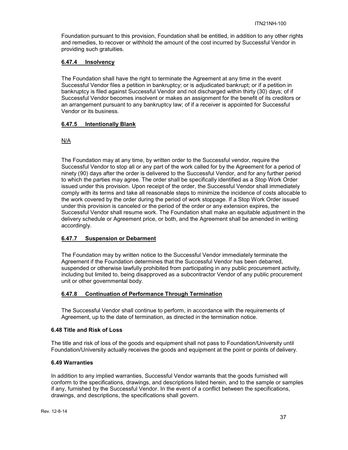Foundation pursuant to this provision, Foundation shall be entitled, in addition to any other rights and remedies, to recover or withhold the amount of the cost incurred by Successful Vendor in providing such gratuities.

# <span id="page-36-0"></span>**6.47.4 Insolvency**

The Foundation shall have the right to terminate the Agreement at any time in the event Successful Vendor files a petition in bankruptcy; or is adjudicated bankrupt; or if a petition in bankruptcy is filed against Successful Vendor and not discharged within thirty (30) days; of if Successful Vendor becomes insolvent or makes an assignment for the benefit of its creditors or an arrangement pursuant to any bankruptcy law; of if a receiver is appointed for Successful Vendor or its business.

# <span id="page-36-1"></span>**6.47.5 Intentionally Blank**

# N/A

The Foundation may at any time, by written order to the Successful vendor, require the Successful Vendor to stop all or any part of the work called for by the Agreement for a period of ninety (90) days after the order is delivered to the Successful Vendor, and for any further period to which the parties may agree. The order shall be specifically identified as a Stop Work Order issued under this provision. Upon receipt of the order, the Successful Vendor shall immediately comply with its terms and take all reasonable steps to minimize the incidence of costs allocable to the work covered by the order during the period of work stoppage. If a Stop Work Order issued under this provision is canceled or the period of the order or any extension expires, the Successful Vendor shall resume work. The Foundation shall make an equitable adjustment in the delivery schedule or Agreement price, or both, and the Agreement shall be amended in writing accordingly.

# <span id="page-36-2"></span>**6.47.7 Suspension or Debarment**

The Foundation may by written notice to the Successful Vendor immediately terminate the Agreement if the Foundation determines that the Successful Vendor has been debarred, suspended or otherwise lawfully prohibited from participating in any public procurement activity, including but limited to, being disapproved as a subcontractor Vendor of any public procurement unit or other governmental body.

#### <span id="page-36-3"></span>**6.47.8 Continuation of Performance Through Termination**

The Successful Vendor shall continue to perform, in accordance with the requirements of Agreement, up to the date of termination, as directed in the termination notice.

#### <span id="page-36-4"></span>**6.48 Title and Risk of Loss**

The title and risk of loss of the goods and equipment shall not pass to Foundation/University until Foundation/University actually receives the goods and equipment at the point or points of delivery.

#### <span id="page-36-5"></span>**6.49 Warranties**

In addition to any implied warranties, Successful Vendor warrants that the goods furnished will conform to the specifications, drawings, and descriptions listed herein, and to the sample or samples if any, furnished by the Successful Vendor. In the event of a conflict between the specifications, drawings, and descriptions, the specifications shall govern.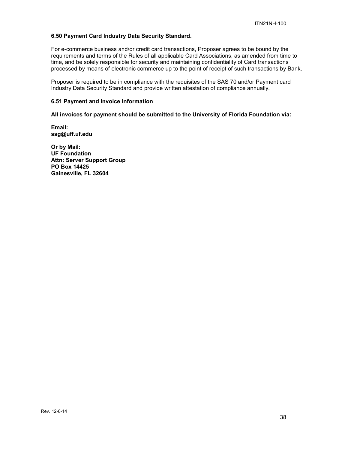#### <span id="page-37-0"></span>**6.50 Payment Card Industry Data Security Standard.**

For e-commerce business and/or credit card transactions, Proposer agrees to be bound by the requirements and terms of the Rules of all applicable Card Associations, as amended from time to time, and be solely responsible for security and maintaining confidentiality of Card transactions processed by means of electronic commerce up to the point of receipt of such transactions by Bank.

Proposer is required to be in compliance with the requisites of the SAS 70 and/or Payment card Industry Data Security Standard and provide written attestation of compliance annually.

#### <span id="page-37-1"></span>**6.51 Payment and Invoice Information**

**All invoices for payment should be submitted to the University of Florida Foundation via:**

**Email: ssg@uff.uf.edu**

**Or by Mail: UF Foundation Attn: Server Support Group PO Box 14425 Gainesville, FL 32604**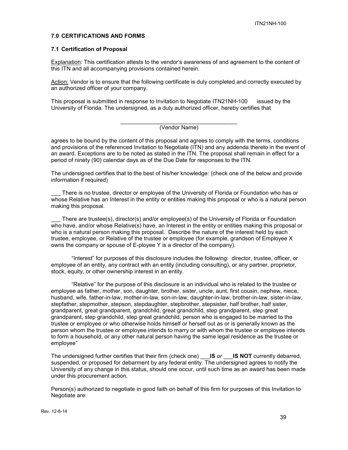#### <span id="page-38-0"></span>**7.0 CERTIFICATIONS AND FORMS**

#### <span id="page-38-1"></span>**7.1 Certification of Proposal**

Explanation: This certification attests to the vendor's awareness of and agreement to the content of this ITN and all accompanying provisions contained herein.

Action: Vendor is to ensure that the following certificate is duly completed and correctly executed by an authorized officer of your company.

This proposal is submitted in response to Invitation to Negotiate ITN21NH-100 issued by the University of Florida. The undersigned, as a duly authorized officer, hereby certifies that

> \_\_\_\_\_\_\_\_\_\_\_\_\_\_\_\_\_\_\_\_\_\_\_\_\_\_\_\_\_\_\_\_\_\_\_\_\_ (Vendor Name)

agrees to be bound by the content of this proposal and agrees to comply with the terms, conditions and provisions of the referenced Invitation to Negotiate (ITN) and any addenda thereto in the event of an award. Exceptions are to be noted as stated in the ITN. The proposal shall remain in effect for a period of ninety (90) calendar days as of the Due Date for responses to the ITN.

The undersigned certifies that to the best of his/her knowledge: (check one of the below and provide information if required)

There is no trustee, director or employee of the University of Florida or Foundation who has or whose Relative has an Interest in the entity or entities making this proposal or who is a natural person making this proposal.

There are trustee(s), director(s) and/or employee(s) of the University of Florida or Foundation who have, and/or whose Relative(s) have, an Interest in the entity or entities making this proposal or who is a natural person making this proposal. Describe the nature of the interest held by each trustee, employee, or Relative of the trustee or employee (for example, grandson of Employee X owns the company or spouse of E-ployee Y is a director of the company).

"Interest" for purposes of this disclosure includes the following: director, trustee, officer, or employee of an entity, any contract with an entity (including consulting), or any partner, proprietor, stock, equity, or other ownership interest in an entity.

"Relative" for the purpose of this disclosure is an individual who is related to the trustee or employee as father, mother, son, daughter, brother, sister, uncle, aunt, first cousin, nephew, niece, husband, wife, father-in-law, mother-in-law, son-in-law, daughter-in-law, brother-in-law, sister-in-law, stepfather, stepmother, stepson, stepdaughter, stepbrother, stepsister, half brother, half sister, grandparent, great grandparent, grandchild, great grandchild, step grandparent, step great grandparent, step grandchild, step great grandchild, person who is engaged to be married to the trustee or employee or who otherwise holds himself or herself out as or is generally known as the person whom the trustee or employee intends to marry or with whom the trustee or employee intends to form a household, or any other natural person having the same legal residence as the trustee or employee"

The undersigned further certifies that their firm (check one) \_\_\_**IS** *or* \_\_\_**IS NOT** currently debarred, suspended, or proposed for debarment by any federal entity. The undersigned agrees to notify the University of any change in this status, should one occur, until such time as an award has been made under this procurement action.

Person(s) authorized to negotiate in good faith on behalf of this firm for purposes of this Invitation to Negotiate are: